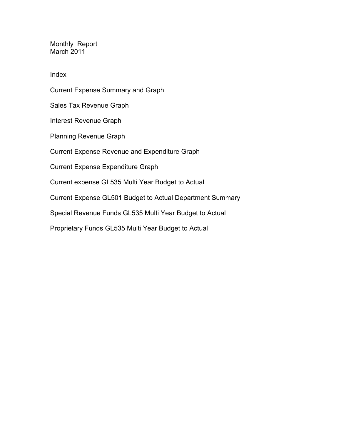Monthly Report March 2011

Index

Current Expense Summary and Graph Sales Tax Revenue Graph Interest Revenue Graph Planning Revenue Graph Current Expense Revenue and Expenditure Graph Current Expense Expenditure Graph Current expense GL535 Multi Year Budget to Actual Current Expense GL501 Budget to Actual Department Summary Special Revenue Funds GL535 Multi Year Budget to Actual Proprietary Funds GL535 Multi Year Budget to Actual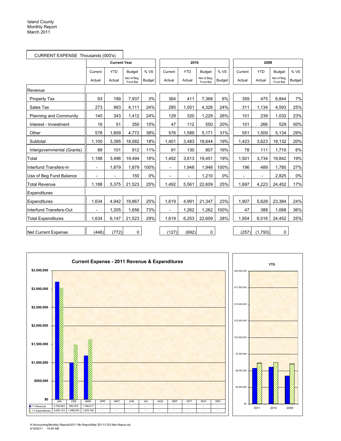|                            | CURRENT EXPENSE Thousands (000's) |                     |                         |               |                          |                          |                         |               |                |                |                         |               |
|----------------------------|-----------------------------------|---------------------|-------------------------|---------------|--------------------------|--------------------------|-------------------------|---------------|----------------|----------------|-------------------------|---------------|
|                            |                                   | <b>Current Year</b> |                         |               |                          | 2010                     |                         |               |                | 2009           |                         |               |
|                            | Current                           | <b>YTD</b>          | <b>Budget</b>           | % VS          | Current                  | <b>YTD</b>               | <b>Budget</b>           | % VS          | Current        | <b>YTD</b>     | <b>Budget</b>           | % VS          |
|                            | Actual                            | Actual              | Net of Beg.<br>Fund Bal | <b>Budget</b> | Actual                   | Actual                   | Net of Beg.<br>Fund Bal | <b>Budget</b> | Actual         | Actual         | Net of Beg.<br>Fund Bal | <b>Budget</b> |
| Revenue                    |                                   |                     |                         |               |                          |                          |                         |               |                |                |                         |               |
| Property Tax               | 93                                | 199                 | 7,937                   | 3%            | 364                      | 411                      | 7,368                   | 6%            | 359            | 475            | 6,844                   | 7%            |
| Sales Tax                  | 273                               | 993                 | 4,111                   | 24%           | 285                      | 1,051                    | 4,326                   | 24%           | 311            | 1,134          | 4,593                   | 25%           |
| Planning and Community     | 140                               | 343                 | 1,412                   | 24%           | 129                      | 320                      | 1,229                   | 26%           | 101            | 239            | 1,032                   | 23%           |
| Interest - Investment      | 16                                | 51                  | 350                     | 15%           | 47                       | 112                      | 550                     | 20%           | 101            | 266            | 529                     | 50%           |
| Other                      | 578                               | 1,809               | 4,772                   | 38%           | 576                      | 1,589                    | 5,171                   | 31%           | 551            | 1,509          | 5,134                   | 29%           |
| Subtotal                   | 1,100                             | 3,395               | 18,582                  | 18%           | 1,401                    | 3,483                    | 18,644                  | 19%           | 1,423          | 3,623          | 18,132                  | 20%           |
| Intergovernmental (Grants) | 88                                | 101                 | 912                     | 11%           | 91                       | 130                      | 807                     | 16%           | 78             | 111            | 1,710                   | 6%            |
| Total                      | 1,188                             | 3,496               | 19,494                  | 18%           | 1,492                    | 3,613                    | 19,451                  | 19%           | 1,501          | 3,734          | 19,842                  | 19%           |
| Interfund Transfers-In     | $\overline{a}$                    | 1.879               | 1,879                   | 100%          | $\blacksquare$           | 1,948                    | 1,948                   | 100%          | 196            | 489            | 1.785                   | 27%           |
| Use of Beg Fund Balance    | $\overline{\phantom{a}}$          | $\overline{a}$      | 150                     | 0%            | $\overline{a}$           | $\overline{\phantom{0}}$ | 1,210                   | 0%            | $\overline{a}$ | $\overline{a}$ | 2,825                   | 0%            |
| <b>Total Revenue</b>       | 1,188                             | 5,375               | 21,523                  | 25%           | 1,492                    | 5,561                    | 22,609                  | 25%           | 1,697          | 4,223          | 24,452                  | 17%           |
| Expenditures               |                                   |                     |                         |               |                          |                          |                         |               |                |                |                         |               |
| Expenditures               | 1,634                             | 4,942               | 19,867                  | 25%           | 1,619                    | 4,991                    | 21,347                  | 23%           | 1,907          | 5,628          | 23,384                  | 24%           |
| Interfund Transfers-Out    |                                   | 1,205               | 1,656                   | 73%           | $\overline{\phantom{a}}$ | 1,262                    | 1,262                   | 100%          | 47             | 388            | 1,068                   | 36%           |
| <b>Total Expenditures</b>  | 1,634                             | 6,147               | 21,523                  | 29%           | 1,619                    | 6,253                    | 22,609                  | 28%           | 1,954          | 6,016          | 24,452                  | 25%           |
| <b>Net Current Expense</b> | (446)                             | (772)               | 0                       |               | (127)                    | (692)                    | 0                       |               | (257)          | (1,793)        | 0                       |               |



H:\Accounting\Monthly Reports\2011 Mo Report\Mar 2011\1103 Mar Report.xls 4/19/2011 10:40 AM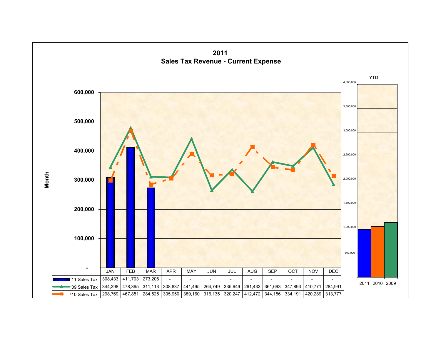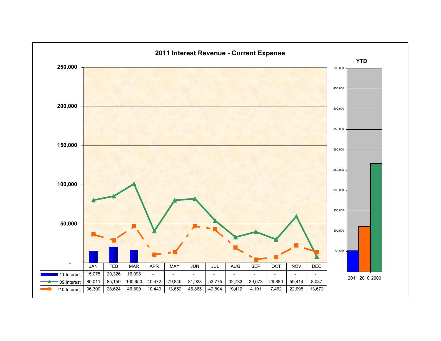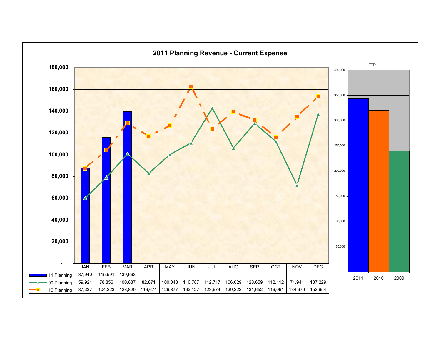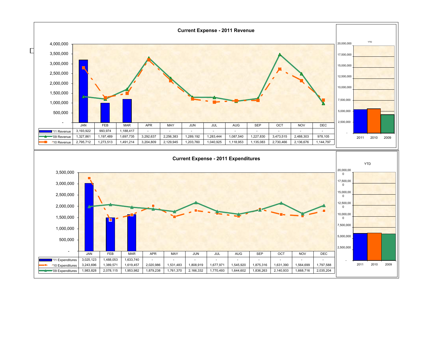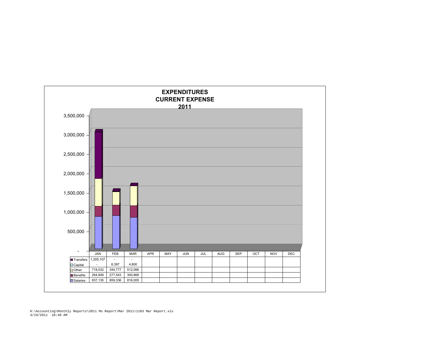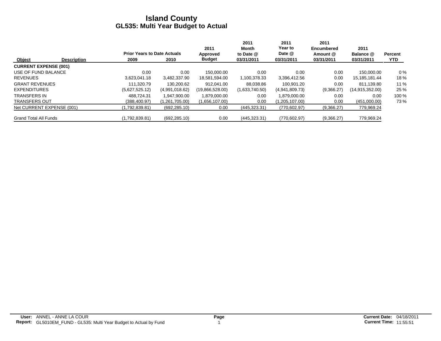|                              |                    |                                    |                | 2011            | 2011<br>Month  | 2011<br>Year to | 2011<br><b>Encumbered</b> | 2011              |                |
|------------------------------|--------------------|------------------------------------|----------------|-----------------|----------------|-----------------|---------------------------|-------------------|----------------|
|                              |                    | <b>Prior Years to Date Actuals</b> |                | Approved        | to Date @      | Date @          | Amount @                  | Balance @         | <b>Percent</b> |
| Object                       | <b>Description</b> | 2009                               | 2010           | <b>Budget</b>   | 03/31/2011     | 03/31/2011      | 03/31/2011                | 03/31/2011        | <b>YTD</b>     |
| <b>CURRENT EXPENSE (001)</b> |                    |                                    |                |                 |                |                 |                           |                   |                |
| USE OF FUND BALANCE          |                    | 0.00                               | 0.00           | 150.000.00      | 0.00           | 0.00            | 0.00                      | 150.000.00        | $0\%$          |
| <b>REVENUES</b>              |                    | 3.623.041.18                       | 3.482.337.90   | 18,581,594.00   | 1,100,378.33   | 3,396,412.56    | 0.00                      | 15,185,181.44     | 18%            |
| <b>GRANT REVENUES</b>        |                    | 111.320.79                         | 130.200.62     | 912.041.00      | 88.038.86      | 100.901.20      | 0.00                      | 811.139.80        | 11%            |
| <b>EXPENDITURES</b>          |                    | (5,627,525.12)                     | (4,991,018.62) | (19,866,528.00) | (1,633,740.50) | (4,941,809.73)  | (9,366.27)                | (14, 915, 352.00) | 25 %           |
| <b>TRANSFERS IN</b>          |                    | 488.724.31                         | 1.947.900.00   | 1.879.000.00    | 0.00           | 1.879.000.00    | 0.00                      | 0.00              | 100 %          |
| <b>TRANSFERS OUT</b>         |                    | (388, 400.97)                      | (1,261,705.00) | (1,656,107.00)  | 0.00           | (1,205,107.00)  | 0.00                      | (451,000.00)      | 73 %           |
| Net CURRENT EXPENSE (001)    |                    | (1,792,839.81)                     | (692, 285.10)  | 0.00            | (445, 323.31)  | (770, 602.97)   | (9,366.27)                | 779,969.24        |                |
| <b>Grand Total All Funds</b> |                    | (1,792,839.81)                     | (692, 285.10)  | 0.00            | (445, 323.31)  | (770, 602.97)   | (9,366.27)                | 779,969.24        |                |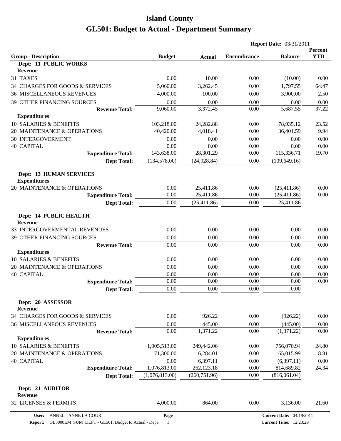| <b>Group - Description</b><br><b>YTD</b><br><b>Budget</b><br><b>Encumbrance</b><br><b>Balance</b><br><b>Actual</b><br>Dept: 11 PUBLIC WORKS<br><b>Revenue</b><br>31 TAXES<br>0.00<br>10.00<br>0.00<br>(10.00)<br>0.00<br>34 CHARGES FOR GOODS & SERVICES<br>5,060.00<br>3,262.45<br>0.00<br>1,797.55<br>64.47<br><b>36 MISCELLANEOUS REVENUES</b><br>4,000.00<br>100.00<br>3,900.00<br>2.50<br>0.00<br><b>39 OTHER FINANCING SOURCES</b><br>0.00<br>0.00<br>0.00<br>0.00<br>0.00<br>3,372.45<br>37.22<br>9,060.00<br>0.00<br>5,687.55<br><b>Revenue Total:</b><br><b>Expenditures</b><br>10 SALARIES & BENEFITS<br>103,218.00<br>0.00<br>78,935.12<br>23.52<br>24,282.88<br>20 MAINTENANCE & OPERATIONS<br>40,420.00<br>4,018.41<br>0.00<br>36,401.59<br>9.94<br><b>30 INTERGOVERMENT</b><br>0.00<br>0.00<br>0.00<br>0.00<br>0.00<br><b>40 CAPITAL</b><br>0.00<br>0.00<br>0.00<br>0.00<br>0.00<br>143,638.00<br>28,301.29<br>115,336.71<br>19.70<br>0.00<br><b>Expenditure Total:</b><br>(134, 578.00)<br>(24, 928.84)<br>0.00<br>(109, 649.16)<br><b>Dept Total:</b><br><b>Dept: 13 HUMAN SERVICES</b><br><b>Expenditures</b><br>20 MAINTENANCE & OPERATIONS<br>0.00<br>25,411.86<br>0.00<br>(25, 411.86)<br>0.00<br>0.00<br>25,411.86<br>0.00<br>0.00<br>(25, 411.86)<br><b>Expenditure Total:</b><br>(25, 411.86)<br>0.00<br>25,411.86<br>0.00<br><b>Dept Total:</b><br>Dept: 14 PUBLIC HEALTH<br><b>Revenue</b><br>33 INTERGOVERMENTAL REVENUES<br>0.00<br>0.00<br>0.00<br>0.00<br>0.00<br>0.00<br>39 OTHER FINANCING SOURCES<br>0.00<br>0.00<br>0.00<br>0.00<br>0.00<br>0.00<br>0.00<br>0.00<br>0.00<br><b>Revenue Total:</b><br><b>Expenditures</b><br>10 SALARIES & BENEFITS<br>0.00<br>0.00<br>0.00<br>0.00<br>0.00<br>0.00<br>20 MAINTENANCE & OPERATIONS<br>0.00<br>0.00<br>0.00<br>0.00<br><b>40 CAPITAL</b><br>0.00<br>0.00<br>0.00<br>0.00<br>0.00<br>0.00<br>0.00<br>0.00<br>0.00<br><b>Expenditure Total:</b><br>0.00<br>0.00<br>0.00<br>$0.00\,$<br>0.00<br><b>Dept Total:</b><br>Dept: 20 ASSESSOR<br><b>Revenue</b><br>34 CHARGES FOR GOODS & SERVICES<br>0.00<br>926.22<br>0.00<br>0.00<br>(926.22)<br><b>36 MISCELLANEOUS REVENUES</b><br>0.00<br>445.00<br>0.00<br>(445.00)<br>0.00<br>0.00<br>1,371.22<br>0.00<br>(1,371.22)<br>0.00<br><b>Revenue Total:</b><br><b>Expenditures</b><br>10 SALARIES & BENEFITS |              |            |      | <b>Report Date: 03/31/2011</b> |         |
|--------------------------------------------------------------------------------------------------------------------------------------------------------------------------------------------------------------------------------------------------------------------------------------------------------------------------------------------------------------------------------------------------------------------------------------------------------------------------------------------------------------------------------------------------------------------------------------------------------------------------------------------------------------------------------------------------------------------------------------------------------------------------------------------------------------------------------------------------------------------------------------------------------------------------------------------------------------------------------------------------------------------------------------------------------------------------------------------------------------------------------------------------------------------------------------------------------------------------------------------------------------------------------------------------------------------------------------------------------------------------------------------------------------------------------------------------------------------------------------------------------------------------------------------------------------------------------------------------------------------------------------------------------------------------------------------------------------------------------------------------------------------------------------------------------------------------------------------------------------------------------------------------------------------------------------------------------------------------------------------------------------------------------------------------------------------------------------------------------------------------------------------------------------------------------------------------------------------------------------------------------------------------------------------------------------------------------------|--------------|------------|------|--------------------------------|---------|
|                                                                                                                                                                                                                                                                                                                                                                                                                                                                                                                                                                                                                                                                                                                                                                                                                                                                                                                                                                                                                                                                                                                                                                                                                                                                                                                                                                                                                                                                                                                                                                                                                                                                                                                                                                                                                                                                                                                                                                                                                                                                                                                                                                                                                                                                                                                                      |              |            |      |                                | Percent |
|                                                                                                                                                                                                                                                                                                                                                                                                                                                                                                                                                                                                                                                                                                                                                                                                                                                                                                                                                                                                                                                                                                                                                                                                                                                                                                                                                                                                                                                                                                                                                                                                                                                                                                                                                                                                                                                                                                                                                                                                                                                                                                                                                                                                                                                                                                                                      |              |            |      |                                |         |
|                                                                                                                                                                                                                                                                                                                                                                                                                                                                                                                                                                                                                                                                                                                                                                                                                                                                                                                                                                                                                                                                                                                                                                                                                                                                                                                                                                                                                                                                                                                                                                                                                                                                                                                                                                                                                                                                                                                                                                                                                                                                                                                                                                                                                                                                                                                                      |              |            |      |                                |         |
|                                                                                                                                                                                                                                                                                                                                                                                                                                                                                                                                                                                                                                                                                                                                                                                                                                                                                                                                                                                                                                                                                                                                                                                                                                                                                                                                                                                                                                                                                                                                                                                                                                                                                                                                                                                                                                                                                                                                                                                                                                                                                                                                                                                                                                                                                                                                      |              |            |      |                                |         |
|                                                                                                                                                                                                                                                                                                                                                                                                                                                                                                                                                                                                                                                                                                                                                                                                                                                                                                                                                                                                                                                                                                                                                                                                                                                                                                                                                                                                                                                                                                                                                                                                                                                                                                                                                                                                                                                                                                                                                                                                                                                                                                                                                                                                                                                                                                                                      |              |            |      |                                |         |
|                                                                                                                                                                                                                                                                                                                                                                                                                                                                                                                                                                                                                                                                                                                                                                                                                                                                                                                                                                                                                                                                                                                                                                                                                                                                                                                                                                                                                                                                                                                                                                                                                                                                                                                                                                                                                                                                                                                                                                                                                                                                                                                                                                                                                                                                                                                                      |              |            |      |                                |         |
|                                                                                                                                                                                                                                                                                                                                                                                                                                                                                                                                                                                                                                                                                                                                                                                                                                                                                                                                                                                                                                                                                                                                                                                                                                                                                                                                                                                                                                                                                                                                                                                                                                                                                                                                                                                                                                                                                                                                                                                                                                                                                                                                                                                                                                                                                                                                      |              |            |      |                                |         |
|                                                                                                                                                                                                                                                                                                                                                                                                                                                                                                                                                                                                                                                                                                                                                                                                                                                                                                                                                                                                                                                                                                                                                                                                                                                                                                                                                                                                                                                                                                                                                                                                                                                                                                                                                                                                                                                                                                                                                                                                                                                                                                                                                                                                                                                                                                                                      |              |            |      |                                |         |
|                                                                                                                                                                                                                                                                                                                                                                                                                                                                                                                                                                                                                                                                                                                                                                                                                                                                                                                                                                                                                                                                                                                                                                                                                                                                                                                                                                                                                                                                                                                                                                                                                                                                                                                                                                                                                                                                                                                                                                                                                                                                                                                                                                                                                                                                                                                                      |              |            |      |                                |         |
|                                                                                                                                                                                                                                                                                                                                                                                                                                                                                                                                                                                                                                                                                                                                                                                                                                                                                                                                                                                                                                                                                                                                                                                                                                                                                                                                                                                                                                                                                                                                                                                                                                                                                                                                                                                                                                                                                                                                                                                                                                                                                                                                                                                                                                                                                                                                      |              |            |      |                                |         |
|                                                                                                                                                                                                                                                                                                                                                                                                                                                                                                                                                                                                                                                                                                                                                                                                                                                                                                                                                                                                                                                                                                                                                                                                                                                                                                                                                                                                                                                                                                                                                                                                                                                                                                                                                                                                                                                                                                                                                                                                                                                                                                                                                                                                                                                                                                                                      |              |            |      |                                |         |
|                                                                                                                                                                                                                                                                                                                                                                                                                                                                                                                                                                                                                                                                                                                                                                                                                                                                                                                                                                                                                                                                                                                                                                                                                                                                                                                                                                                                                                                                                                                                                                                                                                                                                                                                                                                                                                                                                                                                                                                                                                                                                                                                                                                                                                                                                                                                      |              |            |      |                                |         |
|                                                                                                                                                                                                                                                                                                                                                                                                                                                                                                                                                                                                                                                                                                                                                                                                                                                                                                                                                                                                                                                                                                                                                                                                                                                                                                                                                                                                                                                                                                                                                                                                                                                                                                                                                                                                                                                                                                                                                                                                                                                                                                                                                                                                                                                                                                                                      |              |            |      |                                |         |
|                                                                                                                                                                                                                                                                                                                                                                                                                                                                                                                                                                                                                                                                                                                                                                                                                                                                                                                                                                                                                                                                                                                                                                                                                                                                                                                                                                                                                                                                                                                                                                                                                                                                                                                                                                                                                                                                                                                                                                                                                                                                                                                                                                                                                                                                                                                                      |              |            |      |                                |         |
|                                                                                                                                                                                                                                                                                                                                                                                                                                                                                                                                                                                                                                                                                                                                                                                                                                                                                                                                                                                                                                                                                                                                                                                                                                                                                                                                                                                                                                                                                                                                                                                                                                                                                                                                                                                                                                                                                                                                                                                                                                                                                                                                                                                                                                                                                                                                      |              |            |      |                                |         |
|                                                                                                                                                                                                                                                                                                                                                                                                                                                                                                                                                                                                                                                                                                                                                                                                                                                                                                                                                                                                                                                                                                                                                                                                                                                                                                                                                                                                                                                                                                                                                                                                                                                                                                                                                                                                                                                                                                                                                                                                                                                                                                                                                                                                                                                                                                                                      |              |            |      |                                |         |
|                                                                                                                                                                                                                                                                                                                                                                                                                                                                                                                                                                                                                                                                                                                                                                                                                                                                                                                                                                                                                                                                                                                                                                                                                                                                                                                                                                                                                                                                                                                                                                                                                                                                                                                                                                                                                                                                                                                                                                                                                                                                                                                                                                                                                                                                                                                                      |              |            |      |                                |         |
|                                                                                                                                                                                                                                                                                                                                                                                                                                                                                                                                                                                                                                                                                                                                                                                                                                                                                                                                                                                                                                                                                                                                                                                                                                                                                                                                                                                                                                                                                                                                                                                                                                                                                                                                                                                                                                                                                                                                                                                                                                                                                                                                                                                                                                                                                                                                      |              |            |      |                                |         |
|                                                                                                                                                                                                                                                                                                                                                                                                                                                                                                                                                                                                                                                                                                                                                                                                                                                                                                                                                                                                                                                                                                                                                                                                                                                                                                                                                                                                                                                                                                                                                                                                                                                                                                                                                                                                                                                                                                                                                                                                                                                                                                                                                                                                                                                                                                                                      |              |            |      |                                |         |
|                                                                                                                                                                                                                                                                                                                                                                                                                                                                                                                                                                                                                                                                                                                                                                                                                                                                                                                                                                                                                                                                                                                                                                                                                                                                                                                                                                                                                                                                                                                                                                                                                                                                                                                                                                                                                                                                                                                                                                                                                                                                                                                                                                                                                                                                                                                                      |              |            |      |                                |         |
|                                                                                                                                                                                                                                                                                                                                                                                                                                                                                                                                                                                                                                                                                                                                                                                                                                                                                                                                                                                                                                                                                                                                                                                                                                                                                                                                                                                                                                                                                                                                                                                                                                                                                                                                                                                                                                                                                                                                                                                                                                                                                                                                                                                                                                                                                                                                      |              |            |      |                                |         |
|                                                                                                                                                                                                                                                                                                                                                                                                                                                                                                                                                                                                                                                                                                                                                                                                                                                                                                                                                                                                                                                                                                                                                                                                                                                                                                                                                                                                                                                                                                                                                                                                                                                                                                                                                                                                                                                                                                                                                                                                                                                                                                                                                                                                                                                                                                                                      |              |            |      |                                |         |
|                                                                                                                                                                                                                                                                                                                                                                                                                                                                                                                                                                                                                                                                                                                                                                                                                                                                                                                                                                                                                                                                                                                                                                                                                                                                                                                                                                                                                                                                                                                                                                                                                                                                                                                                                                                                                                                                                                                                                                                                                                                                                                                                                                                                                                                                                                                                      |              |            |      |                                |         |
|                                                                                                                                                                                                                                                                                                                                                                                                                                                                                                                                                                                                                                                                                                                                                                                                                                                                                                                                                                                                                                                                                                                                                                                                                                                                                                                                                                                                                                                                                                                                                                                                                                                                                                                                                                                                                                                                                                                                                                                                                                                                                                                                                                                                                                                                                                                                      |              |            |      |                                |         |
|                                                                                                                                                                                                                                                                                                                                                                                                                                                                                                                                                                                                                                                                                                                                                                                                                                                                                                                                                                                                                                                                                                                                                                                                                                                                                                                                                                                                                                                                                                                                                                                                                                                                                                                                                                                                                                                                                                                                                                                                                                                                                                                                                                                                                                                                                                                                      |              |            |      |                                |         |
|                                                                                                                                                                                                                                                                                                                                                                                                                                                                                                                                                                                                                                                                                                                                                                                                                                                                                                                                                                                                                                                                                                                                                                                                                                                                                                                                                                                                                                                                                                                                                                                                                                                                                                                                                                                                                                                                                                                                                                                                                                                                                                                                                                                                                                                                                                                                      |              |            |      |                                |         |
|                                                                                                                                                                                                                                                                                                                                                                                                                                                                                                                                                                                                                                                                                                                                                                                                                                                                                                                                                                                                                                                                                                                                                                                                                                                                                                                                                                                                                                                                                                                                                                                                                                                                                                                                                                                                                                                                                                                                                                                                                                                                                                                                                                                                                                                                                                                                      |              |            |      |                                |         |
|                                                                                                                                                                                                                                                                                                                                                                                                                                                                                                                                                                                                                                                                                                                                                                                                                                                                                                                                                                                                                                                                                                                                                                                                                                                                                                                                                                                                                                                                                                                                                                                                                                                                                                                                                                                                                                                                                                                                                                                                                                                                                                                                                                                                                                                                                                                                      |              |            |      |                                |         |
|                                                                                                                                                                                                                                                                                                                                                                                                                                                                                                                                                                                                                                                                                                                                                                                                                                                                                                                                                                                                                                                                                                                                                                                                                                                                                                                                                                                                                                                                                                                                                                                                                                                                                                                                                                                                                                                                                                                                                                                                                                                                                                                                                                                                                                                                                                                                      |              |            |      |                                |         |
|                                                                                                                                                                                                                                                                                                                                                                                                                                                                                                                                                                                                                                                                                                                                                                                                                                                                                                                                                                                                                                                                                                                                                                                                                                                                                                                                                                                                                                                                                                                                                                                                                                                                                                                                                                                                                                                                                                                                                                                                                                                                                                                                                                                                                                                                                                                                      |              |            |      |                                |         |
|                                                                                                                                                                                                                                                                                                                                                                                                                                                                                                                                                                                                                                                                                                                                                                                                                                                                                                                                                                                                                                                                                                                                                                                                                                                                                                                                                                                                                                                                                                                                                                                                                                                                                                                                                                                                                                                                                                                                                                                                                                                                                                                                                                                                                                                                                                                                      |              |            |      |                                |         |
|                                                                                                                                                                                                                                                                                                                                                                                                                                                                                                                                                                                                                                                                                                                                                                                                                                                                                                                                                                                                                                                                                                                                                                                                                                                                                                                                                                                                                                                                                                                                                                                                                                                                                                                                                                                                                                                                                                                                                                                                                                                                                                                                                                                                                                                                                                                                      |              |            |      |                                |         |
|                                                                                                                                                                                                                                                                                                                                                                                                                                                                                                                                                                                                                                                                                                                                                                                                                                                                                                                                                                                                                                                                                                                                                                                                                                                                                                                                                                                                                                                                                                                                                                                                                                                                                                                                                                                                                                                                                                                                                                                                                                                                                                                                                                                                                                                                                                                                      |              |            |      |                                |         |
|                                                                                                                                                                                                                                                                                                                                                                                                                                                                                                                                                                                                                                                                                                                                                                                                                                                                                                                                                                                                                                                                                                                                                                                                                                                                                                                                                                                                                                                                                                                                                                                                                                                                                                                                                                                                                                                                                                                                                                                                                                                                                                                                                                                                                                                                                                                                      | 1,005,513.00 | 249,442.06 | 0.00 | 756,070.94                     | 24.80   |
| 71,300.00<br>20 MAINTENANCE & OPERATIONS<br>6,284.01<br>0.00<br>65,015.99<br>8.81                                                                                                                                                                                                                                                                                                                                                                                                                                                                                                                                                                                                                                                                                                                                                                                                                                                                                                                                                                                                                                                                                                                                                                                                                                                                                                                                                                                                                                                                                                                                                                                                                                                                                                                                                                                                                                                                                                                                                                                                                                                                                                                                                                                                                                                    |              |            |      |                                |         |
| <b>40 CAPITAL</b><br>0.00<br>6,397.11<br>0.00<br>(6,397.11)<br>0.00<br>1,076,813.00<br><b>Expenditure Total:</b><br>262,123.18<br>24.34<br>0.00<br>814,689.82                                                                                                                                                                                                                                                                                                                                                                                                                                                                                                                                                                                                                                                                                                                                                                                                                                                                                                                                                                                                                                                                                                                                                                                                                                                                                                                                                                                                                                                                                                                                                                                                                                                                                                                                                                                                                                                                                                                                                                                                                                                                                                                                                                        |              |            |      |                                |         |
| (1,076,813.00)<br>(260, 751.96)<br>0.00<br>(816,061.04)                                                                                                                                                                                                                                                                                                                                                                                                                                                                                                                                                                                                                                                                                                                                                                                                                                                                                                                                                                                                                                                                                                                                                                                                                                                                                                                                                                                                                                                                                                                                                                                                                                                                                                                                                                                                                                                                                                                                                                                                                                                                                                                                                                                                                                                                              |              |            |      |                                |         |
| <b>Dept Total:</b>                                                                                                                                                                                                                                                                                                                                                                                                                                                                                                                                                                                                                                                                                                                                                                                                                                                                                                                                                                                                                                                                                                                                                                                                                                                                                                                                                                                                                                                                                                                                                                                                                                                                                                                                                                                                                                                                                                                                                                                                                                                                                                                                                                                                                                                                                                                   |              |            |      |                                |         |
| Dept: 21 AUDITOR<br><b>Revenue</b>                                                                                                                                                                                                                                                                                                                                                                                                                                                                                                                                                                                                                                                                                                                                                                                                                                                                                                                                                                                                                                                                                                                                                                                                                                                                                                                                                                                                                                                                                                                                                                                                                                                                                                                                                                                                                                                                                                                                                                                                                                                                                                                                                                                                                                                                                                   |              |            |      |                                |         |
| 32 LICENSES & PERMITS<br>4,000.00<br>864.00<br>0.00<br>3,136.00<br>21.60                                                                                                                                                                                                                                                                                                                                                                                                                                                                                                                                                                                                                                                                                                                                                                                                                                                                                                                                                                                                                                                                                                                                                                                                                                                                                                                                                                                                                                                                                                                                                                                                                                                                                                                                                                                                                                                                                                                                                                                                                                                                                                                                                                                                                                                             |              |            |      |                                |         |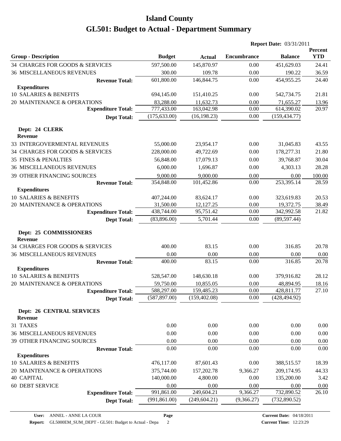|                                                    |               |               |                    | <b>Report Date: 03/31/2011</b> |                       |
|----------------------------------------------------|---------------|---------------|--------------------|--------------------------------|-----------------------|
| <b>Group - Description</b>                         | <b>Budget</b> | <b>Actual</b> | <b>Encumbrance</b> | <b>Balance</b>                 | Percent<br><b>YTD</b> |
| 34 CHARGES FOR GOODS & SERVICES                    | 597,500.00    | 145,870.97    | 0.00               | 451,629.03                     | 24.41                 |
| <b>36 MISCELLANEOUS REVENUES</b>                   | 300.00        | 109.78        | 0.00               | 190.22                         | 36.59                 |
| <b>Revenue Total:</b>                              | 601,800.00    | 146,844.75    | 0.00               | 454,955.25                     | 24.40                 |
| <b>Expenditures</b>                                |               |               |                    |                                |                       |
| 10 SALARIES & BENEFITS                             | 694,145.00    | 151,410.25    | 0.00               | 542,734.75                     | 21.81                 |
| 20 MAINTENANCE & OPERATIONS                        | 83,288.00     | 11,632.73     | 0.00               | 71,655.27                      | 13.96                 |
| <b>Expenditure Total:</b>                          | 777,433.00    | 163,042.98    | 0.00               | 614,390.02                     | 20.97                 |
| <b>Dept Total:</b>                                 | (175, 633.00) | (16, 198.23)  | 0.00               | (159, 434.77)                  |                       |
| Dept: 24 CLERK<br><b>Revenue</b>                   |               |               |                    |                                |                       |
| 33 INTERGOVERMENTAL REVENUES                       | 55,000.00     | 23,954.17     | 0.00               | 31,045.83                      | 43.55                 |
| 34 CHARGES FOR GOODS & SERVICES                    | 228,000.00    | 49,722.69     | 0.00               | 178,277.31                     | 21.80                 |
| <b>35 FINES &amp; PENALTIES</b>                    | 56,848.00     | 17,079.13     | 0.00               | 39,768.87                      | 30.04                 |
| <b>36 MISCELLANEOUS REVENUES</b>                   | 6,000.00      | 1,696.87      | 0.00               | 4,303.13                       | 28.28                 |
| 39 OTHER FINANCING SOURCES                         | 9,000.00      | 9,000.00      | 0.00               | 0.00                           | 100.00                |
| <b>Revenue Total:</b>                              | 354,848.00    | 101,452.86    | 0.00               | 253,395.14                     | 28.59                 |
| <b>Expenditures</b>                                |               |               |                    |                                |                       |
| 10 SALARIES & BENEFITS                             | 407,244.00    | 83,624.17     | 0.00               | 323,619.83                     | 20.53                 |
| 20 MAINTENANCE & OPERATIONS                        | 31,500.00     | 12,127.25     | 0.00               | 19,372.75                      | 38.49                 |
| <b>Expenditure Total:</b>                          | 438,744.00    | 95,751.42     | 0.00               | 342,992.58                     | 21.82                 |
| <b>Dept Total:</b>                                 | (83,896.00)   | 5,701.44      | 0.00               | (89, 597.44)                   |                       |
| Dept: 25 COMMISSIONERS<br><b>Revenue</b>           |               |               |                    |                                |                       |
| 34 CHARGES FOR GOODS & SERVICES                    | 400.00        | 83.15         | 0.00               | 316.85                         | 20.78                 |
| <b>36 MISCELLANEOUS REVENUES</b>                   | 0.00          | 0.00          | 0.00               | 0.00                           | 0.00                  |
| <b>Revenue Total:</b>                              | 400.00        | 83.15         | 0.00               | 316.85                         | 20.78                 |
| <b>Expenditures</b>                                |               |               |                    |                                |                       |
| 10 SALARIES & BENEFITS                             | 528,547.00    | 148,630.18    | 0.00               | 379,916.82                     | 28.12                 |
| 20 MAINTENANCE & OPERATIONS                        | 59,750.00     | 10,855.05     | 0.00               | 48,894.95                      | 18.16                 |
| <b>Expenditure Total:</b>                          | 588,297.00    | 159,485.23    | $0.00\,$           | 428,811.77                     | 27.10                 |
| <b>Dept Total:</b>                                 | (587, 897.00) | (159, 402.08) | 0.00               | (428, 494.92)                  |                       |
| <b>Dept: 26 CENTRAL SERVICES</b><br><b>Revenue</b> |               |               |                    |                                |                       |
| 31 TAXES                                           | 0.00          | 0.00          | 0.00               | 0.00                           | 0.00                  |
| <b>36 MISCELLANEOUS REVENUES</b>                   | 0.00          | 0.00          | 0.00               | 0.00                           | 0.00                  |
| 39 OTHER FINANCING SOURCES                         | 0.00          | 0.00          | 0.00               | 0.00                           | 0.00                  |
| <b>Revenue Total:</b>                              | 0.00          | 0.00          | 0.00               | 0.00                           | 0.00                  |
| <b>Expenditures</b>                                |               |               |                    |                                |                       |
| 10 SALARIES & BENEFITS                             | 476,117.00    | 87,601.43     | 0.00               | 388,515.57                     | 18.39                 |
| 20 MAINTENANCE & OPERATIONS                        | 375,744.00    | 157,202.78    | 9,366.27           | 209,174.95                     | 44.33                 |
| <b>40 CAPITAL</b>                                  | 140,000.00    | 4,800.00      | 0.00               | 135,200.00                     | 3.42                  |
| <b>60 DEBT SERVICE</b>                             | 0.00          | 0.00          | 0.00               | 0.00                           | 0.00                  |
| <b>Expenditure Total:</b>                          | 991,861.00    | 249,604.21    | 9,366.27           | 732,890.52                     | 26.10                 |
| <b>Dept Total:</b>                                 | (991, 861.00) | (249, 604.21) | (9,366.27)         | (732,890.52)                   |                       |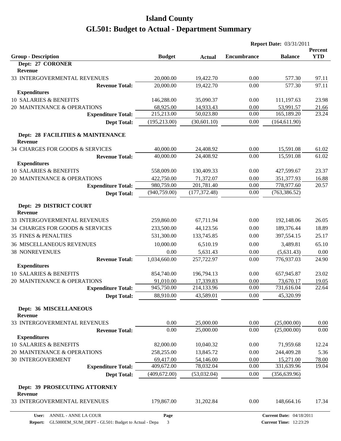|                                                     |               |               |                    | <b>Report Date: 03/31/2011</b> |                       |
|-----------------------------------------------------|---------------|---------------|--------------------|--------------------------------|-----------------------|
|                                                     |               |               |                    |                                | Percent<br><b>YTD</b> |
| <b>Group - Description</b><br>Dept: 27 CORONER      | <b>Budget</b> | <b>Actual</b> | <b>Encumbrance</b> | <b>Balance</b>                 |                       |
| Revenue                                             |               |               |                    |                                |                       |
| 33 INTERGOVERMENTAL REVENUES                        | 20,000.00     | 19,422.70     | 0.00               | 577.30                         | 97.11                 |
| <b>Revenue Total:</b>                               | 20,000.00     | 19,422.70     | 0.00               | 577.30                         | 97.11                 |
| <b>Expenditures</b>                                 |               |               |                    |                                |                       |
| 10 SALARIES & BENEFITS                              | 146,288.00    | 35,090.37     | 0.00               | 111,197.63                     | 23.98                 |
| 20 MAINTENANCE & OPERATIONS                         | 68,925.00     | 14,933.43     | 0.00               | 53,991.57                      | 21.66                 |
| <b>Expenditure Total:</b>                           | 215,213.00    | 50,023.80     | 0.00               | 165,189.20                     | 23.24                 |
| <b>Dept Total:</b>                                  | (195, 213.00) | (30,601.10)   | 0.00               | (164, 611.90)                  |                       |
| Dept: 28 FACILITIES & MAINTENANCE<br><b>Revenue</b> |               |               |                    |                                |                       |
| 34 CHARGES FOR GOODS & SERVICES                     | 40,000.00     | 24,408.92     | 0.00               | 15,591.08                      | 61.02                 |
| <b>Revenue Total:</b>                               | 40,000.00     | 24,408.92     | 0.00               | 15,591.08                      | 61.02                 |
| <b>Expenditures</b>                                 |               |               |                    |                                |                       |
| 10 SALARIES & BENEFITS                              | 558,009.00    | 130,409.33    | 0.00               | 427,599.67                     | 23.37                 |
| 20 MAINTENANCE & OPERATIONS                         | 422,750.00    | 71,372.07     | 0.00               | 351,377.93                     | 16.88                 |
| <b>Expenditure Total:</b>                           | 980,759.00    | 201,781.40    | 0.00               | 778,977.60                     | 20.57                 |
| <b>Dept Total:</b>                                  | (940, 759.00) | (177, 372.48) | 0.00               | (763, 386.52)                  |                       |
| Dept: 29 DISTRICT COURT<br><b>Revenue</b>           |               |               |                    |                                |                       |
| 33 INTERGOVERMENTAL REVENUES                        | 259,860.00    | 67,711.94     | 0.00               | 192,148.06                     | 26.05                 |
| 34 CHARGES FOR GOODS & SERVICES                     | 233,500.00    | 44,123.56     | 0.00               | 189,376.44                     | 18.89                 |
| <b>35 FINES &amp; PENALTIES</b>                     | 531,300.00    | 133,745.85    | 0.00               | 397,554.15                     | 25.17                 |
| <b>36 MISCELLANEOUS REVENUES</b>                    | 10,000.00     | 6,510.19      | 0.00               | 3,489.81                       | 65.10                 |
| <b>38 NONREVENUES</b>                               | 0.00          | 5,631.43      | 0.00               | (5,631.43)                     | 0.00                  |
| <b>Revenue Total:</b>                               | 1,034,660.00  | 257,722.97    | 0.00               | 776,937.03                     | 24.90                 |
| <b>Expenditures</b>                                 |               |               |                    |                                |                       |
| 10 SALARIES & BENEFITS                              | 854,740.00    | 196,794.13    | 0.00               | 657,945.87                     | 23.02                 |
| 20 MAINTENANCE & OPERATIONS                         | 91,010.00     | 17,339.83     | 0.00               | 73,670.17                      | 19.05                 |
| <b>Expenditure Total:</b>                           | 945,750.00    | 214,133.96    | 0.00               | 731,616.04                     | 22.64                 |
| <b>Dept Total:</b>                                  | 88,910.00     | 43,589.01     | 0.00               | 45,320.99                      |                       |
| <b>Dept: 36 MISCELLANEOUS</b><br><b>Revenue</b>     |               |               |                    |                                |                       |
| 33 INTERGOVERMENTAL REVENUES                        | 0.00          | 25,000.00     | 0.00               | (25,000.00)                    | 0.00                  |
| <b>Revenue Total:</b>                               | 0.00          | 25,000.00     | 0.00               | (25,000.00)                    | $0.00\,$              |
| <b>Expenditures</b>                                 |               |               |                    |                                |                       |
| 10 SALARIES & BENEFITS                              | 82,000.00     | 10,040.32     | 0.00               | 71,959.68                      | 12.24                 |
| 20 MAINTENANCE & OPERATIONS                         | 258,255.00    | 13,845.72     | 0.00               | 244,409.28                     | 5.36                  |
| <b>30 INTERGOVERMENT</b>                            | 69,417.00     | 54,146.00     | 0.00               | 15,271.00                      | 78.00                 |
| <b>Expenditure Total:</b>                           | 409,672.00    | 78,032.04     | 0.00               | 331,639.96                     | 19.04                 |
| <b>Dept Total:</b>                                  | (409, 672.00) | (53,032.04)   | 0.00               | (356, 639.96)                  |                       |
| Dept: 39 PROSECUTING ATTORNEY<br>Revenue            |               |               |                    |                                |                       |
| 33 INTERGOVERMENTAL REVENUES                        | 179,867.00    | 31,202.84     | 0.00               | 148,664.16                     | 17.34                 |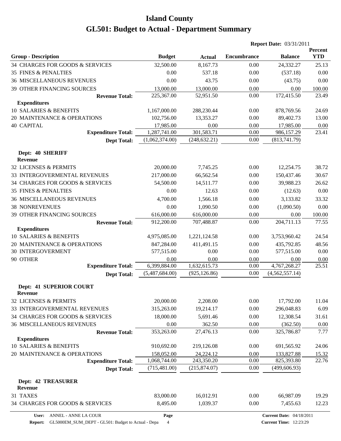|                                                  |                |               |             | <b>Report Date: 03/31/2011</b> |                       |  |
|--------------------------------------------------|----------------|---------------|-------------|--------------------------------|-----------------------|--|
| <b>Group - Description</b>                       | <b>Budget</b>  | <b>Actual</b> | Encumbrance | <b>Balance</b>                 | Percent<br><b>YTD</b> |  |
| 34 CHARGES FOR GOODS & SERVICES                  | 32,500.00      | 8,167.73      | 0.00        | 24,332.27                      | 25.13                 |  |
| <b>35 FINES &amp; PENALTIES</b>                  | 0.00           | 537.18        | 0.00        | (537.18)                       | 0.00                  |  |
| <b>36 MISCELLANEOUS REVENUES</b>                 | 0.00           | 43.75         | 0.00        | (43.75)                        | 0.00                  |  |
| 39 OTHER FINANCING SOURCES                       | 13,000.00      | 13,000.00     | 0.00        | 0.00                           | 100.00                |  |
| <b>Revenue Total:</b>                            | 225,367.00     | 52,951.50     | 0.00        | 172,415.50                     | 23.49                 |  |
| <b>Expenditures</b>                              |                |               |             |                                |                       |  |
| 10 SALARIES & BENEFITS                           | 1,167,000.00   | 288,230.44    | 0.00        | 878,769.56                     | 24.69                 |  |
| 20 MAINTENANCE & OPERATIONS                      | 102,756.00     | 13,353.27     | 0.00        | 89,402.73                      | 13.00                 |  |
| <b>40 CAPITAL</b>                                | 17,985.00      | 0.00          | 0.00        | 17,985.00                      | 0.00                  |  |
| <b>Expenditure Total:</b>                        | 1,287,741.00   | 301,583.71    | 0.00        | 986,157.29                     | 23.41                 |  |
| <b>Dept Total:</b>                               | (1,062,374.00) | (248, 632.21) | $0.00\,$    | (813,741.79)                   |                       |  |
| Dept: 40 SHERIFF<br><b>Revenue</b>               |                |               |             |                                |                       |  |
| 32 LICENSES & PERMITS                            | 20,000.00      | 7,745.25      | 0.00        | 12,254.75                      | 38.72                 |  |
| 33 INTERGOVERMENTAL REVENUES                     | 217,000.00     | 66,562.54     | 0.00        | 150,437.46                     | 30.67                 |  |
| 34 CHARGES FOR GOODS & SERVICES                  | 54,500.00      | 14,511.77     | 0.00        | 39,988.23                      | 26.62                 |  |
| <b>35 FINES &amp; PENALTIES</b>                  | 0.00           | 12.63         | 0.00        | (12.63)                        | 0.00                  |  |
| <b>36 MISCELLANEOUS REVENUES</b>                 | 4,700.00       | 1,566.18      | 0.00        | 3,133.82                       | 33.32                 |  |
| <b>38 NONREVENUES</b>                            | 0.00           | 1,090.50      | 0.00        | (1,090.50)                     | 0.00                  |  |
| 39 OTHER FINANCING SOURCES                       | 616,000.00     | 616,000.00    | 0.00        | 0.00                           | 100.00                |  |
| <b>Revenue Total:</b>                            | 912,200.00     | 707,488.87    | 0.00        | 204,711.13                     | 77.55                 |  |
| <b>Expenditures</b>                              |                |               |             |                                |                       |  |
| 10 SALARIES & BENEFITS                           | 4,975,085.00   | 1,221,124.58  | 0.00        | 3,753,960.42                   | 24.54                 |  |
| 20 MAINTENANCE & OPERATIONS                      | 847,284.00     | 411,491.15    | 0.00        | 435,792.85                     | 48.56                 |  |
| <b>30 INTERGOVERMENT</b>                         | 577,515.00     | 0.00          | 0.00        | 577,515.00                     | 0.00                  |  |
| 90 OTHER                                         | 0.00           | 0.00          | 0.00        | 0.00                           | 0.00                  |  |
| <b>Expenditure Total:</b>                        | 6,399,884.00   | 1,632,615.73  | 0.00        | 4,767,268.27                   | 25.51                 |  |
| <b>Dept Total:</b>                               | (5,487,684.00) | (925, 126.86) | 0.00        | (4,562,557.14)                 |                       |  |
| <b>Dept: 41 SUPERIOR COURT</b><br><b>Revenue</b> |                |               |             |                                |                       |  |
| 32 LICENSES & PERMITS                            | 20,000.00      | 2,208.00      | 0.00        | 17,792.00                      | 11.04                 |  |
| 33 INTERGOVERMENTAL REVENUES                     | 315,263.00     | 19,214.17     | 0.00        | 296,048.83                     | 6.09                  |  |
| 34 CHARGES FOR GOODS & SERVICES                  | 18,000.00      | 5,691.46      | 0.00        | 12,308.54                      | 31.61                 |  |
| 36 MISCELLANEOUS REVENUES                        | 0.00           | 362.50        | 0.00        | (362.50)                       | 0.00                  |  |
| <b>Revenue Total:</b>                            | 353,263.00     | 27,476.13     | 0.00        | 325,786.87                     | 7.77                  |  |
| <b>Expenditures</b>                              |                |               |             |                                |                       |  |
| 10 SALARIES & BENEFITS                           | 910,692.00     | 219,126.08    | 0.00        | 691,565.92                     | 24.06                 |  |
| 20 MAINTENANCE & OPERATIONS                      | 158,052.00     | 24,224.12     | 0.00        | 133,827.88                     | 15.32                 |  |
| <b>Expenditure Total:</b>                        | 1,068,744.00   | 243,350.20    | 0.00        | 825,393.80                     | 22.76                 |  |
| <b>Dept Total:</b>                               | (715, 481.00)  | (215,874.07)  | 0.00        | (499, 606.93)                  |                       |  |
| <b>Dept: 42 TREASURER</b><br>Revenue             |                |               |             |                                |                       |  |
| 31 TAXES                                         | 83,000.00      | 16,012.91     | 0.00        | 66,987.09                      | 19.29                 |  |
| 34 CHARGES FOR GOODS & SERVICES                  | 8,495.00       | 1,039.37      | 0.00        | 7,455.63                       | 12.23                 |  |
|                                                  |                |               |             |                                |                       |  |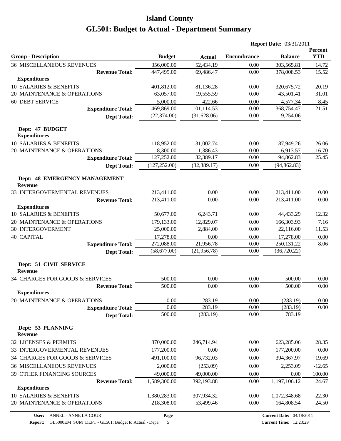|                                                        |               |               |                    | <b>Report Date: 03/31/2011</b> |                       |
|--------------------------------------------------------|---------------|---------------|--------------------|--------------------------------|-----------------------|
| <b>Group - Description</b>                             | <b>Budget</b> | <b>Actual</b> | <b>Encumbrance</b> | <b>Balance</b>                 | Percent<br><b>YTD</b> |
| <b>36 MISCELLANEOUS REVENUES</b>                       | 356,000.00    | 52,434.19     | 0.00               | 303,565.81                     | 14.72                 |
| <b>Revenue Total:</b>                                  | 447,495.00    | 69,486.47     | 0.00               | 378,008.53                     | 15.52                 |
| <b>Expenditures</b>                                    |               |               |                    |                                |                       |
| 10 SALARIES & BENEFITS                                 | 401,812.00    | 81,136.28     | 0.00               | 320,675.72                     | 20.19                 |
| 20 MAINTENANCE & OPERATIONS                            | 63,057.00     | 19,555.59     | 0.00               | 43,501.41                      | 31.01                 |
| <b>60 DEBT SERVICE</b>                                 | 5,000.00      | 422.66        | 0.00               | 4,577.34                       | 8.45                  |
| <b>Expenditure Total:</b>                              | 469,869.00    | 101,114.53    | 0.00               | 368,754.47                     | 21.51                 |
| <b>Dept Total:</b>                                     | (22, 374.00)  | (31,628.06)   | 0.00               | 9,254.06                       |                       |
| Dept: 47 BUDGET<br><b>Expenditures</b>                 |               |               |                    |                                |                       |
| 10 SALARIES & BENEFITS                                 | 118,952.00    | 31,002.74     | 0.00               | 87,949.26                      | 26.06                 |
| 20 MAINTENANCE & OPERATIONS                            | 8,300.00      | 1,386.43      | 0.00               | 6,913.57                       | 16.70                 |
| <b>Expenditure Total:</b>                              | 127,252.00    | 32,389.17     | 0.00               | 94,862.83                      | 25.45                 |
| <b>Dept Total:</b>                                     | (127, 252.00) | (32, 389.17)  | 0.00               | (94, 862.83)                   |                       |
| <b>Dept: 48 EMERGENCY MANAGEMENT</b><br><b>Revenue</b> |               |               |                    |                                |                       |
| 33 INTERGOVERMENTAL REVENUES                           | 213,411.00    | 0.00          | 0.00               | 213,411.00                     | 0.00                  |
| <b>Revenue Total:</b>                                  | 213,411.00    | 0.00          | 0.00               | 213,411.00                     | 0.00                  |
| <b>Expenditures</b>                                    |               |               |                    |                                |                       |
| 10 SALARIES & BENEFITS                                 | 50,677.00     | 6,243.71      | 0.00               | 44,433.29                      | 12.32                 |
| 20 MAINTENANCE & OPERATIONS                            | 179,133.00    | 12,829.07     | 0.00               | 166,303.93                     | 7.16                  |
| <b>30 INTERGOVERMENT</b>                               | 25,000.00     | 2,884.00      | 0.00               | 22,116.00                      | 11.53                 |
| <b>40 CAPITAL</b>                                      | 17,278.00     | 0.00          | 0.00               | 17,278.00                      | 0.00                  |
| <b>Expenditure Total:</b>                              | 272,088.00    | 21,956.78     | 0.00               | 250,131.22                     | 8.06                  |
| <b>Dept Total:</b>                                     | (58,677.00)   | (21, 956.78)  | 0.00               | (36, 720.22)                   |                       |
| Dept: 51 CIVIL SERVICE<br>Revenue                      |               |               |                    |                                |                       |
| 34 CHARGES FOR GOODS & SERVICES                        | 500.00        | 0.00          | 0.00               | 500.00                         | 0.00                  |
| <b>Revenue Total:</b>                                  | 500.00        | 0.00          | 0.00               | 500.00                         | 0.00                  |
| <b>Expenditures</b>                                    |               |               |                    |                                |                       |
| 20 MAINTENANCE & OPERATIONS                            | $0.00\,$      | 283.19        | 0.00               | (283.19)                       | 0.00                  |
| <b>Expenditure Total:</b>                              | 0.00          | 283.19        | 0.00               | (283.19)                       | 0.00                  |
| <b>Dept Total:</b>                                     | 500.00        | (283.19)      | 0.00               | 783.19                         |                       |
| Dept: 53 PLANNING<br><b>Revenue</b>                    |               |               |                    |                                |                       |
| 32 LICENSES & PERMITS                                  | 870,000.00    | 246,714.94    | 0.00               | 623,285.06                     | 28.35                 |
| 33 INTERGOVERMENTAL REVENUES                           | 177,200.00    | 0.00          | 0.00               | 177,200.00                     | 0.00                  |
| 34 CHARGES FOR GOODS & SERVICES                        | 491,100.00    | 96,732.03     | 0.00               | 394,367.97                     | 19.69                 |
| <b>36 MISCELLANEOUS REVENUES</b>                       | 2,000.00      | (253.09)      | 0.00               | 2,253.09                       | $-12.65$              |
| 39 OTHER FINANCING SOURCES                             | 49,000.00     | 49,000.00     | 0.00               | 0.00                           | 100.00                |
| <b>Revenue Total:</b>                                  | 1,589,300.00  | 392,193.88    | 0.00               | 1,197,106.12                   | 24.67                 |
| <b>Expenditures</b>                                    |               |               |                    |                                |                       |
| 10 SALARIES & BENEFITS                                 | 1,380,283.00  | 307,934.32    | 0.00               | 1,072,348.68                   | 22.30                 |
| 20 MAINTENANCE & OPERATIONS                            | 218,308.00    | 53,499.46     | 0.00               | 164,808.54                     | 24.50                 |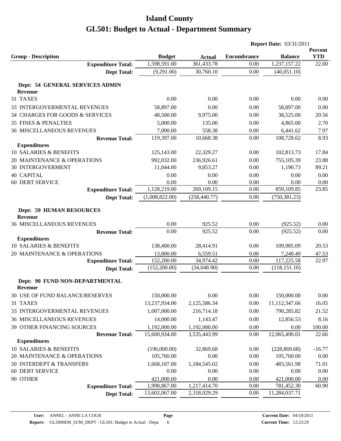|                                                   |                |               | <b>Report Date: 03/31/2011</b> |                |                       |
|---------------------------------------------------|----------------|---------------|--------------------------------|----------------|-----------------------|
| <b>Group - Description</b>                        | <b>Budget</b>  | <b>Actual</b> | <b>Encumbrance</b>             | <b>Balance</b> | Percent<br><b>YTD</b> |
| <b>Expenditure Total:</b>                         | 1,598,591.00   | 361,433.78    | 0.00                           | 1,237,157.22   | 22.60                 |
| <b>Dept Total:</b>                                | (9,291.00)     | 30,760.10     | 0.00                           | (40,051.10)    |                       |
| Dept: 54 GENERAL SERVICES ADMIN                   |                |               |                                |                |                       |
| <b>Revenue</b>                                    |                |               |                                |                |                       |
| 31 TAXES                                          | 0.00           | 0.00          | 0.00                           | 0.00           | 0.00                  |
| 33 INTERGOVERMENTAL REVENUES                      | 58,897.00      | 0.00          | 0.00                           | 58,897.00      | 0.00                  |
| 34 CHARGES FOR GOODS & SERVICES                   | 48,500.00      | 9,975.00      | 0.00                           | 38,525.00      | 20.56                 |
| <b>35 FINES &amp; PENALTIES</b>                   | 5,000.00       | 135.00        | 0.00                           | 4,865.00       | 2.70                  |
| <b>36 MISCELLANEOUS REVENUES</b>                  | 7,000.00       | 558.38        | 0.00                           | 6,441.62       | 7.97                  |
| <b>Revenue Total:</b>                             | 119,397.00     | 10,668.38     | 0.00                           | 108,728.62     | 8.93                  |
| <b>Expenditures</b>                               |                |               |                                |                |                       |
| 10 SALARIES & BENEFITS                            | 125,143.00     | 22,329.27     | 0.00                           | 102,813.73     | 17.84                 |
| 20 MAINTENANCE & OPERATIONS                       | 992,032.00     | 236,926.61    | 0.00                           | 755,105.39     | 23.88                 |
| <b>30 INTERGOVERMENT</b>                          | 11,044.00      | 9,853.27      | 0.00                           | 1,190.73       | 89.21                 |
| <b>40 CAPITAL</b>                                 | 0.00           | 0.00          | 0.00                           | 0.00           | 0.00                  |
| <b>60 DEBT SERVICE</b>                            | 0.00           | 0.00          | 0.00                           | 0.00           | 0.00                  |
| <b>Expenditure Total:</b>                         | 1,128,219.00   | 269,109.15    | 0.00                           | 859,109.85     | 23.85                 |
| <b>Dept Total:</b>                                | (1,008,822.00) | (258, 440.77) | 0.00                           | (750, 381.23)  |                       |
| <b>Dept: 59 HUMAN RESOURCES</b><br><b>Revenue</b> |                |               |                                |                |                       |
| <b>36 MISCELLANEOUS REVENUES</b>                  | 0.00           | 925.52        | 0.00                           | (925.52)       | 0.00                  |
| <b>Revenue Total:</b>                             | 0.00           | 925.52        | 0.00                           | (925.52)       | 0.00                  |
| <b>Expenditures</b>                               |                |               |                                |                |                       |
| 10 SALARIES & BENEFITS                            | 138,400.00     | 28,414.91     | 0.00                           | 109,985.09     | 20.53                 |
| 20 MAINTENANCE & OPERATIONS                       | 13,800.00      | 6,559.51      | 0.00                           | 7,240.49       | 47.53                 |
| <b>Expenditure Total:</b>                         | 152,200.00     | 34,974.42     | 0.00                           | 117,225.58     | 22.97                 |
| <b>Dept Total:</b>                                | (152,200.00)   | (34,048.90)   | 0.00                           | (118, 151.10)  |                       |
| Dept: 90 FUND NON-DEPARTMENTAL<br><b>Revenue</b>  |                |               |                                |                |                       |
| 30 USE OF FUND BALANCE/RESERVES                   | 150,000.00     | 0.00          | 0.00                           | 150,000.00     | 0.00                  |
| 31 TAXES                                          | 13,237,934.00  | 2,125,586.34  | 0.00                           | 11,112,347.66  | 16.05                 |
| 33 INTERGOVERMENTAL REVENUES                      | 1,007,000.00   | 216,714.18    | 0.00                           | 790,285.82     | 21.52                 |
| <b>36 MISCELLANEOUS REVENUES</b>                  | 14,000.00      | 1,143.47      | 0.00                           | 12,856.53      | 8.16                  |
| 39 OTHER FINANCING SOURCES                        | 1,192,000.00   | 1,192,000.00  | 0.00                           | 0.00           | 100.00                |
| <b>Revenue Total:</b>                             | 15,600,934.00  | 3,535,443.99  | 0.00                           | 12,065,490.01  | 22.66                 |
| <b>Expenditures</b>                               |                |               |                                |                |                       |
| 10 SALARIES & BENEFITS                            | (196,000.00)   | 32,869.68     | 0.00                           | (228, 869.68)  | $-16.77$              |
| 20 MAINTENANCE & OPERATIONS                       | 105,760.00     | 0.00          | 0.00                           | 105,760.00     | 0.00                  |
| 50 INTERDEPT & TRANSFERS                          | 1,668,107.00   | 1,184,545.02  | 0.00                           | 483,561.98     | 71.01                 |
| <b>60 DEBT SERVICE</b>                            | 0.00           | 0.00          | 0.00                           | 0.00           | 0.00                  |
| 90 OTHER                                          | 421,000.00     | 0.00          | 0.00                           | 421,000.00     | 0.00                  |
| <b>Expenditure Total:</b>                         | 1,998,867.00   | 1,217,414.70  | 0.00                           | 781,452.30     | 60.90                 |
| <b>Dept Total:</b>                                | 13,602,067.00  | 2,318,029.29  | 0.00                           | 11,284,037.71  |                       |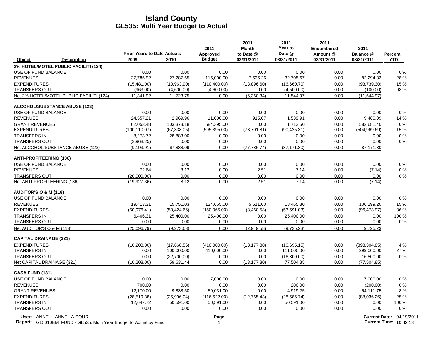|                                  |                                                                                                         | <b>Prior Years to Date Actuals</b> |              | 2011<br>Approved | 2011<br><b>Month</b><br>to Date @ | 2011<br>Year to<br>Date @ | 2011<br><b>Encumbered</b><br>Amount @ | 2011<br>Balance @    | <b>Percent</b>                              |
|----------------------------------|---------------------------------------------------------------------------------------------------------|------------------------------------|--------------|------------------|-----------------------------------|---------------------------|---------------------------------------|----------------------|---------------------------------------------|
| Object                           | <b>Description</b>                                                                                      | 2009                               | 2010         | <b>Budget</b>    | 03/31/2011                        | 03/31/2011                | 03/31/2011                            | 03/31/2011           | <b>YTD</b>                                  |
|                                  | 2% HOTEL/MOTEL PUBLIC FACILITI (124)                                                                    |                                    |              |                  |                                   |                           |                                       |                      |                                             |
| USE OF FUND BALANCE              |                                                                                                         | 0.00                               | 0.00         | 0.00             | 0.00                              | 0.00                      | 0.00                                  | 0.00                 | 0%                                          |
| <b>REVENUES</b>                  |                                                                                                         | 27,785.92                          | 27,287.65    | 115,000.00       | 7,536.26                          | 32,705.67                 | 0.00                                  | 82,294.33            | 28%                                         |
| <b>EXPENDITURES</b>              |                                                                                                         | (15, 481.00)                       | (10,963.90)  | (110, 400.00)    | (13,896.60)                       | (16,660.70)               | 0.00                                  | (93,739.30)          | 15 %                                        |
| <b>TRANSFERS OUT</b>             |                                                                                                         | (963.00)                           | (4,600.00)   | (4,600.00)       | 0.00                              | (4,500.00)                | 0.00                                  | (100.00)             | 98 %                                        |
|                                  | Net 2% HOTEL/MOTEL PUBLIC FACILITI (124)                                                                | 11.341.92                          | 11,723.75    | 0.00             | (6,360.34)                        | 11,544.97                 | 0.00                                  | (11, 544.97)         |                                             |
|                                  | <b>ALCOHOL/SUBSTANCE ABUSE (123)</b>                                                                    |                                    |              |                  |                                   |                           |                                       |                      |                                             |
| USE OF FUND BALANCE              |                                                                                                         | 0.00                               | 0.00         | 0.00             | 0.00                              | 0.00                      | 0.00                                  | 0.00                 | 0%                                          |
| <b>REVENUES</b>                  |                                                                                                         | 24,557.21                          | 2,969.96     | 11,000.00        | 915.07                            | 1,539.91                  | 0.00                                  | 9,460.09             | 14 %                                        |
| <b>GRANT REVENUES</b>            |                                                                                                         | 62,053.48                          | 103,373.18   | 584,395.00       | 0.00                              | 1,713.60                  | 0.00                                  | 582,681.40           | 0%                                          |
| <b>EXPENDITURES</b>              |                                                                                                         | (100, 110.07)                      | (67, 338.05) | (595, 395.00)    | (78, 701.81)                      | (90, 425.31)              | 0.00                                  | (504, 969.69)        | 15 %                                        |
| <b>TRANSFERS IN</b>              |                                                                                                         | 8.273.72                           | 28,883.00    | 0.00             | 0.00                              | 0.00                      | 0.00                                  | 0.00                 | 0%                                          |
| <b>TRANSFERS OUT</b>             |                                                                                                         | (3,968.25)                         | 0.00         | 0.00             | 0.00                              | 0.00                      | 0.00                                  | 0.00                 | 0%                                          |
|                                  | Net ALCOHOL/SUBSTANCE ABUSE (123)                                                                       | (9, 193.91)                        | 67,888.09    | 0.00             | (77, 786.74)                      | (87, 171.80)              | 0.00                                  | 87,171.80            |                                             |
| <b>ANTI-PROFITEERING (136)</b>   |                                                                                                         |                                    |              |                  |                                   |                           |                                       |                      |                                             |
| USE OF FUND BALANCE              |                                                                                                         | 0.00                               | 0.00         | 0.00             | 0.00                              | 0.00                      | 0.00                                  | 0.00                 | $0\%$                                       |
| <b>REVENUES</b>                  |                                                                                                         | 72.64                              | 8.12         | 0.00             | 2.51                              | 7.14                      | 0.00                                  | (7.14)               | $0\%$                                       |
| <b>TRANSFERS OUT</b>             |                                                                                                         | (20.000.00)                        | 0.00         | 0.00             | 0.00                              | 0.00                      | 0.00                                  | 0.00                 | $0\%$                                       |
| Net ANTI-PROFITEERING (136)      |                                                                                                         | (19, 927.36)                       | 8.12         | 0.00             | 2.51                              | 7.14                      | 0.00                                  | (7.14)               |                                             |
| <b>AUDITOR'S O &amp; M (118)</b> |                                                                                                         |                                    |              |                  |                                   |                           |                                       |                      |                                             |
| USE OF FUND BALANCE              |                                                                                                         | 0.00                               | 0.00         | 0.00             | 0.00                              | 0.00                      | 0.00                                  | 0.00                 | $0\%$                                       |
| <b>REVENUES</b>                  |                                                                                                         | 19,413.31                          | 15,751.03    | 124,665.00       | 5,511.00                          | 18,465.80                 | 0.00                                  | 106,199.20           | 15%                                         |
| <b>EXPENDITURES</b>              |                                                                                                         | (50, 976.41)                       | (50, 424.66) | (150,065.00)     | (8,460.58)                        | (53, 591.03)              | 0.00                                  | (96, 473.97)         | 36 %                                        |
| <b>TRANSFERS IN</b>              |                                                                                                         | 6,466.31                           | 25,400.00    | 25,400.00        | 0.00                              | 25,400.00                 | 0.00                                  | 0.00                 | 100 %                                       |
| <b>TRANSFERS OUT</b>             |                                                                                                         | 0.00                               | 0.00         | 0.00             | 0.00                              | 0.00                      | 0.00                                  | 0.00                 | $0\%$                                       |
| Net AUDITOR'S O & M (118)        |                                                                                                         | (25.096.79)                        | (9,273.63)   | 0.00             | (2.949.58)                        | (9.725.23)                | 0.00                                  | 9,725.23             |                                             |
| <b>CAPITAL DRAINAGE (321)</b>    |                                                                                                         |                                    |              |                  |                                   |                           |                                       |                      |                                             |
| <b>EXPENDITURES</b>              |                                                                                                         | (10, 208.00)                       | (17,668.56)  | (410,000.00)     | (13, 177.80)                      | (16,695.15)               | 0.00                                  | (393, 304.85)        | 4 %                                         |
| <b>TRANSFERS IN</b>              |                                                                                                         | 0.00                               | 100,000.00   | 410,000.00       | 0.00                              | 111,000.00                | 0.00                                  | 299,000.00           | 27 %                                        |
| <b>TRANSFERS OUT</b>             |                                                                                                         | 0.00                               | (22.700.00)  | 0.00             | 0.00                              | (16,800.00)               | 0.00                                  | 16,800.00            | 0%                                          |
| Net CAPITAL DRAINAGE (321)       |                                                                                                         | (10, 208.00)                       | 59,631.44    | 0.00             | (13, 177.80)                      | 77,504.85                 | 0.00                                  | (77, 504.85)         |                                             |
| CASA FUND (131)                  |                                                                                                         |                                    |              |                  |                                   |                           |                                       |                      |                                             |
| USE OF FUND BALANCE              |                                                                                                         | 0.00                               | 0.00         | 7,000.00         | 0.00                              | 0.00                      | 0.00                                  | 7,000.00             | 0%                                          |
| <b>REVENUES</b>                  |                                                                                                         | 700.00                             | 0.00         | 0.00             | 0.00                              | 200.00                    | 0.00                                  | (200.00)             | 0%                                          |
| <b>GRANT REVENUES</b>            |                                                                                                         | 12,170.00                          | 9,838.50     | 59,031.00        | 0.00                              | 4,919.25                  | 0.00                                  | 54,111.75            | 8%                                          |
| <b>EXPENDITURES</b>              |                                                                                                         | (28, 519.38)                       | (25,996.04)  | (116, 622.00)    | (12,765.43)                       | (28, 585.74)              | 0.00                                  | (88,036.26)          | 25 %                                        |
| <b>TRANSFERS IN</b>              |                                                                                                         | 12,647.72                          | 50,591.00    | 50,591.00        | 0.00                              | 50,591.00                 | 0.00                                  | 0.00                 | 100 %                                       |
| <b>TRANSFERS OUT</b>             |                                                                                                         | 0.00                               | 0.00         | 0.00             | 0.00                              | 0.00                      | 0.00                                  | 0.00                 | 0%                                          |
|                                  | User: ANNEL - ANNE LA COUR<br><b>Report:</b> GL5010EM FUND - GL535: Multi Year Budget to Actual by Fund |                                    |              | Page             |                                   |                           |                                       | <b>Current Date:</b> | 04/19/2011<br><b>Current Time: 10:42:13</b> |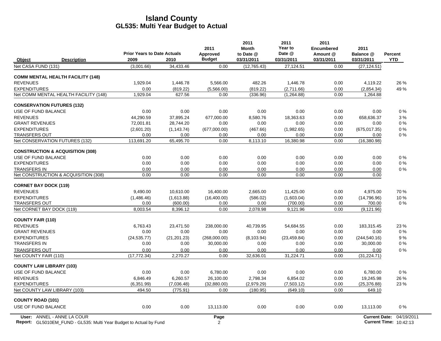|                                                                    | <b>Prior Years to Date Actuals</b> |              | 2011<br>Approved | 2011<br><b>Month</b><br>to Date @ | 2011<br>Year to<br>Date @ | 2011<br><b>Encumbered</b><br>Amount @ | 2011<br>Balance @    | <b>Percent</b>                |
|--------------------------------------------------------------------|------------------------------------|--------------|------------------|-----------------------------------|---------------------------|---------------------------------------|----------------------|-------------------------------|
| Object<br><b>Description</b>                                       | 2009                               | 2010         | <b>Budget</b>    | 03/31/2011                        | 03/31/2011                | 03/31/2011                            | 03/31/2011           | <b>YTD</b>                    |
| Net CASA FUND (131)                                                | (3,001.66)                         | 34,433.46    | 0.00             | (12,765.43)                       | 27,124.51                 | 0.00                                  | (27, 124.51)         |                               |
| <b>COMM MENTAL HEALTH FACILITY (148)</b>                           |                                    |              |                  |                                   |                           |                                       |                      |                               |
| <b>REVENUES</b>                                                    | 1,929.04                           | 1,446.78     | 5,566.00         | 482.26                            | 1,446.78                  | 0.00                                  | 4,119.22             | 26 %                          |
| <b>EXPENDITURES</b>                                                | 0.00                               | (819.22)     | (5,566.00)       | (819.22)                          | (2,711.66)                | 0.00                                  | (2,854.34)           | 49 %                          |
| Net COMM MENTAL HEALTH FACILITY (148)                              | 1,929.04                           | 627.56       | 0.00             | (336.96)                          | (1,264.88)                | 0.00                                  | 1,264.88             |                               |
| <b>CONSERVATION FUTURES (132)</b>                                  |                                    |              |                  |                                   |                           |                                       |                      |                               |
| USE OF FUND BALANCE                                                | 0.00                               | 0.00         | 0.00             | 0.00                              | 0.00                      | 0.00                                  | 0.00                 | $0\%$                         |
| <b>REVENUES</b>                                                    | 44,290.59                          | 37,895.24    | 677,000.00       | 8,580.76                          | 18,363.63                 | 0.00                                  | 658,636.37           | 3%                            |
| <b>GRANT REVENUES</b>                                              | 72,001.81                          | 28,744.20    | 0.00             | 0.00                              | 0.00                      | 0.00                                  | 0.00                 | $0\%$                         |
| <b>EXPENDITURES</b>                                                | (2,601.20)                         | (1, 143.74)  | (677,000.00)     | (467.66)                          | (1,982.65)                | 0.00                                  | (675, 017.35)        | 0%                            |
| <b>TRANSFERS OUT</b>                                               | 0.00                               | 0.00         | 0.00             | 0.00                              | 0.00                      | 0.00                                  | 0.00                 | $0\%$                         |
| Net CONSERVATION FUTURES (132)                                     | 113,691.20                         | 65,495.70    | 0.00             | 8,113.10                          | 16,380.98                 | 0.00                                  | (16, 380.98)         |                               |
| <b>CONSTRUCTION &amp; ACQUISITION (308)</b>                        |                                    |              |                  |                                   |                           |                                       |                      |                               |
| USE OF FUND BALANCE                                                | 0.00                               | 0.00         | 0.00             | 0.00                              | 0.00                      | 0.00                                  | 0.00                 | $0\%$                         |
| <b>EXPENDITURES</b>                                                | 0.00                               | 0.00         | 0.00             | 0.00                              | 0.00                      | 0.00                                  | 0.00                 | $0\%$                         |
| <b>TRANSFERS IN</b>                                                | 0.00                               | 0.00         | 0.00             | 0.00                              | 0.00                      | 0.00                                  | 0.00                 | $0\%$                         |
| Net CONSTRUCTION & ACQUISITION (308)                               | 0.00                               | 0.00         | 0.00             | 0.00                              | 0.00                      | 0.00                                  | 0.00                 |                               |
| <b>CORNET BAY DOCK (119)</b>                                       |                                    |              |                  |                                   |                           |                                       |                      |                               |
| <b>REVENUES</b>                                                    | 9,490.00                           | 10,610.00    | 16,400.00        | 2,665.00                          | 11,425.00                 | 0.00                                  | 4,975.00             | 70 %                          |
| <b>EXPENDITURES</b>                                                | (1,486.46)                         | (1,613.88)   | (16,400.00)      | (586.02)                          | (1,603.04)                | 0.00                                  | (14,796.96)          | 10%                           |
| <b>TRANSFERS OUT</b>                                               | 0.00                               | (600.00)     | 0.00             | 0.00                              | (700.00)                  | 0.00                                  | 700.00               | $0\%$                         |
| Net CORNET BAY DOCK (119)                                          | 8,003.54                           | 8,396.12     | 0.00             | 2,078.98                          | 9,121.96                  | 0.00                                  | (9, 121.96)          |                               |
| <b>COUNTY FAIR (110)</b>                                           |                                    |              |                  |                                   |                           |                                       |                      |                               |
| <b>REVENUES</b>                                                    | 6.763.43                           | 23.471.50    | 238,000.00       | 40.739.95                         | 54,684.55                 | 0.00                                  | 183.315.45           | 23 %                          |
| <b>GRANT REVENUES</b>                                              | 0.00                               | 0.00         | 0.00             | 0.00                              | 0.00                      | 0.00                                  | 0.00                 | $0\%$                         |
| <b>EXPENDITURES</b>                                                | (24, 535.77)                       | (21, 201.23) | (268,000.00)     | (8, 103.94)                       | (23, 459.84)              | 0.00                                  | (244, 540.16)        | 9%                            |
| <b>TRANSFERS IN</b>                                                | 0.00                               | 0.00         | 30,000.00        | 0.00                              | 0.00                      | 0.00                                  | 30,000.00            | $0\%$                         |
| <b>TRANSFERS OUT</b>                                               | 0.00                               | 0.00         | 0.00             | 0.00                              | 0.00                      | 0.00                                  | 0.00                 | $0\%$                         |
| Net COUNTY FAIR (110)                                              | (17, 772.34)                       | 2.270.27     | 0.00             | 32.636.01                         | 31,224.71                 | 0.00                                  | (31, 224.71)         |                               |
| <b>COUNTY LAW LIBRARY (103)</b>                                    |                                    |              |                  |                                   |                           |                                       |                      |                               |
| USE OF FUND BALANCE                                                | 0.00                               | 0.00         | 6,780.00         | 0.00                              | 0.00                      | 0.00                                  | 6,780.00             | $0\%$                         |
| <b>REVENUES</b>                                                    | 6,846.49                           | 6,260.57     | 26,100.00        | 2,798.34                          | 6,854.02                  | 0.00                                  | 19,245.98            | 26 %                          |
| <b>EXPENDITURES</b>                                                | (6,351.99)                         | (7,036.48)   | (32,880.00)      | (2,979.29)                        | (7,503.12)                | 0.00                                  | (25, 376.88)         | 23 %                          |
| Net COUNTY LAW LIBRARY (103)                                       | 494.50                             | (775.91)     | 0.00             | (180.95)                          | (649.10)                  | 0.00                                  | 649.10               |                               |
| <b>COUNTY ROAD (101)</b>                                           |                                    |              |                  |                                   |                           |                                       |                      |                               |
| USE OF FUND BALANCE                                                | 0.00                               | 0.00         | 13,113.00        | 0.00                              | 0.00                      | 0.00                                  | 13,113.00            | $0\%$                         |
| User: ANNEL - ANNE LA COUR                                         |                                    |              | Page             |                                   |                           |                                       | <b>Current Date:</b> | 04/19/2011                    |
| Report: GL5010EM_FUND - GL535: Multi Year Budget to Actual by Fund |                                    |              | 2                |                                   |                           |                                       |                      | <b>Current Time: 10:42:13</b> |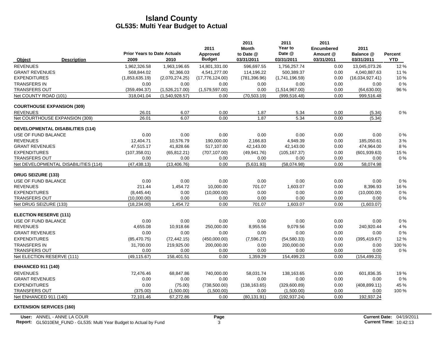|                                   |                                         | <b>Prior Years to Date Actuals</b> |                | 2011                      | 2011<br><b>Month</b><br>to Date @ | 2011<br>Year to<br>Date @ | 2011<br><b>Encumbered</b><br>Amount @ | 2011<br>Balance @ |                              |
|-----------------------------------|-----------------------------------------|------------------------------------|----------------|---------------------------|-----------------------------------|---------------------------|---------------------------------------|-------------------|------------------------------|
| Object                            | <b>Description</b>                      | 2009                               | 2010           | Approved<br><b>Budget</b> | 03/31/2011                        | 03/31/2011                | 03/31/2011                            | 03/31/2011        | <b>Percent</b><br><b>YTD</b> |
| <b>REVENUES</b>                   |                                         | 1,962,326.58                       | 1,963,196.65   | 14,801,331.00             | 596,697.55                        | 1,756,257.74              | 0.00                                  | 13,045,073.26     | 12%                          |
| <b>GRANT REVENUES</b>             |                                         | 568.844.02                         | 92,366.03      | 4,541,277.00              | 114,196.22                        | 500,389.37                | 0.00                                  | 4,040,887.63      | 11 %                         |
| <b>EXPENDITURES</b>               |                                         | (1,853,635.19)                     | (2,070,274.25) | (17,776,124.00)           | (781, 396.96)                     | (1,741,196.59)            | 0.00                                  | (16,034,927.41)   | 10 %                         |
| <b>TRANSFERS IN</b>               |                                         | 0.00                               | 0.00           | 0.00                      | 0.00                              | 0.00                      | 0.00                                  | 0.00              | 0%                           |
| TRANSFERS OUT                     |                                         | (359, 494.37)                      | (1,526,217.00) | (1,579,597.00)            | 0.00                              | (1,514,967.00)            | 0.00                                  | (64, 630.00)      | 96 %                         |
| Net COUNTY ROAD (101)             |                                         | 318,041.04                         | (1,540,928.57) | 0.00                      | (70, 503.19)                      | (999.516.48)              | 0.00                                  | 999,516.48        |                              |
| <b>COURTHOUSE EXPANSION (309)</b> |                                         |                                    |                |                           |                                   |                           |                                       |                   |                              |
| <b>REVENUES</b>                   |                                         | 26.01                              | 6.07           | 0.00                      | 1.87                              | 5.34                      | 0.00                                  | (5.34)            | 0%                           |
|                                   | Net COURTHOUSE EXPANSION (309)          | 26.01                              | 6.07           | 0.00                      | 1.87                              | 5.34                      | 0.00                                  | (5.34)            |                              |
|                                   | <b>DEVELOPMENTAL DISABILITIES (114)</b> |                                    |                |                           |                                   |                           |                                       |                   |                              |
| USE OF FUND BALANCE               |                                         | 0.00                               | 0.00           | 0.00                      | 0.00                              | 0.00                      | 0.00                                  | 0.00              | 0%                           |
| <b>REVENUES</b>                   |                                         | 12,404.71                          | 10,576.79      | 190,000.00                | 2,166.83                          | 4,949.39                  | 0.00                                  | 185,050.61        | 3%                           |
| <b>GRANT REVENUES</b>             |                                         | 47,515.17                          | 41,828.66      | 517,107.00                | 42,143.00                         | 42,143.00                 | 0.00                                  | 474,964.00        | 8 %                          |
| <b>EXPENDITURES</b>               |                                         | (107, 358.01)                      | (65, 812.21)   | (707, 107.00)             | (49, 941.76)                      | (105, 167.37)             | 0.00                                  | (601, 939.63)     | 15 %                         |
| TRANSFERS OUT                     |                                         | 0.00                               | 0.00           | 0.00                      | 0.00                              | 0.00                      | 0.00                                  | 0.00              | 0%                           |
|                                   | Net DEVELOPMENTAL DISABILITIES (114)    | (47, 438.13)                       | (13, 406.76)   | 0.00                      | (5,631.93)                        | (58,074.98)               | 0.00                                  | 58,074.98         |                              |
| <b>DRUG SEIZURE (133)</b>         |                                         |                                    |                |                           |                                   |                           |                                       |                   |                              |
| USE OF FUND BALANCE               |                                         | 0.00                               | 0.00           | 0.00                      | 0.00                              | 0.00                      | 0.00                                  | 0.00              | 0%                           |
| <b>REVENUES</b>                   |                                         | 211.44                             | 1,454.72       | 10,000.00                 | 701.07                            | 1,603.07                  | 0.00                                  | 8,396.93          | 16 %                         |
| <b>EXPENDITURES</b>               |                                         | (8,445.44)                         | 0.00           | (10,000.00)               | 0.00                              | 0.00                      | 0.00                                  | (10,000.00)       | 0%                           |
| <b>TRANSFERS OUT</b>              |                                         | (10,000.00)                        | 0.00           | 0.00                      | 0.00                              | 0.00                      | 0.00                                  | 0.00              | 0%                           |
| Net DRUG SEIZURE (133)            |                                         | (18, 234.00)                       | 1,454.72       | 0.00                      | 701.07                            | 1,603.07                  | 0.00                                  | (1,603.07)        |                              |
| <b>ELECTION RESERVE (111)</b>     |                                         |                                    |                |                           |                                   |                           |                                       |                   |                              |
| USE OF FUND BALANCE               |                                         | 0.00                               | 0.00           | 0.00                      | 0.00                              | 0.00                      | 0.00                                  | 0.00              | 0%                           |
| <b>REVENUES</b>                   |                                         | 4,655.08                           | 10,918.66      | 250,000.00                | 8,955.56                          | 9,079.56                  | 0.00                                  | 240,920.44        | 4 %                          |
| <b>GRANT REVENUES</b>             |                                         | 0.00                               | 0.00           | 0.00                      | 0.00                              | 0.00                      | 0.00                                  | 0.00              | 0%                           |
| <b>EXPENDITURES</b>               |                                         | (85, 470.75)                       | (72, 442.15)   | (450,000.00)              | (7,596.27)                        | (54, 580.33)              | 0.00                                  | (395, 419.67)     | 12%                          |
| <b>TRANSFERS IN</b>               |                                         | 31,700.00                          | 219,925.00     | 200,000.00                | 0.00                              | 200,000.00                | 0.00                                  | 0.00              | 100 %                        |
| <b>TRANSFERS OUT</b>              |                                         | 0.00                               | 0.00           | 0.00                      | 0.00                              | 0.00                      | 0.00                                  | 0.00              | 0%                           |
| Net ELECTION RESERVE (111)        |                                         | (49.115.67)                        | 158.401.51     | 0.00                      | 1,359.29                          | 154,499.23                | 0.00                                  | (154, 499.23)     |                              |
| <b>ENHANCED 911 (140)</b>         |                                         |                                    |                |                           |                                   |                           |                                       |                   |                              |
| <b>REVENUES</b>                   |                                         | 72,476.46                          | 68,847.86      | 740,000.00                | 58,031.74                         | 138,163.65                | 0.00                                  | 601,836.35        | 19%                          |
| <b>GRANT REVENUES</b>             |                                         | 0.00                               | 0.00           | 0.00                      | 0.00                              | 0.00                      | 0.00                                  | 0.00              | $0\%$                        |
| <b>EXPENDITURES</b>               |                                         | 0.00                               | (75.00)        | (738, 500.00)             | (138, 163.65)                     | (329,600.89)              | 0.00                                  | (408, 899.11)     | 45 %                         |
| <b>TRANSFERS OUT</b>              |                                         | (375.00)                           | (1,500.00)     | (1,500.00)                | 0.00                              | (1,500.00)                | 0.00                                  | 0.00              | 100 %                        |
| Net ENHANCED 911 (140)            |                                         | 72,101.46                          | 67,272.86      | 0.00                      | (80, 131.91)                      | (192, 937.24)             | 0.00                                  | 192,937.24        |                              |

**EXTENSION SERVICES (160)**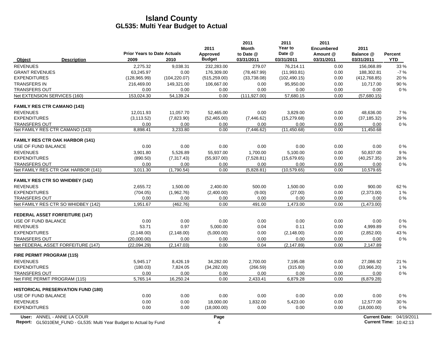|                                           |                                    |               | 2011          | 2011<br><b>Month</b> | 2011<br>Year to | 2011<br><b>Encumbered</b> | 2011          |            |
|-------------------------------------------|------------------------------------|---------------|---------------|----------------------|-----------------|---------------------------|---------------|------------|
|                                           | <b>Prior Years to Date Actuals</b> |               | Approved      | to Date @            | Date @          | Amount @                  | Balance @     | Percent    |
| <b>Description</b><br>Object              | 2009                               | 2010          | <b>Budget</b> | 03/31/2011           | 03/31/2011      | 03/31/2011                | 03/31/2011    | <b>YTD</b> |
| <b>REVENUES</b>                           | 2,275.32                           | 9,038.31      | 232,283.00    | 279.07               | 76,214.11       | 0.00                      | 156,068.89    | 33 %       |
| <b>GRANT REVENUES</b>                     | 63.245.97                          | 0.00          | 176.309.00    | (78, 467.99)         | (11.993.81)     | 0.00                      | 188.302.81    | $-7%$      |
| <b>EXPENDITURES</b>                       | (128, 965.99)                      | (104, 220.07) | (515, 259.00) | (33,738.08)          | (102, 490.15)   | 0.00                      | (412, 768.85) | 20%        |
| <b>TRANSFERS IN</b>                       | 216,469.00                         | 149,321.00    | 106,667.00    | 0.00                 | 95,950.00       | 0.00                      | 10,717.00     | 90 %       |
| <b>TRANSFERS OUT</b>                      | 0.00                               | 0.00          | 0.00          | 0.00                 | 0.00            | 0.00                      | 0.00          | $0\%$      |
| Net EXTENSION SERVICES (160)              | 153,024.30                         | 54,139.24     | 0.00          | (111, 927.00)        | 57,680.15       | 0.00                      | (57,680.15)   |            |
| <b>FAMILY RES CTR CAMANO (143)</b>        |                                    |               |               |                      |                 |                           |               |            |
| <b>REVENUES</b>                           | 12.011.93                          | 11.057.70     | 52.465.00     | 0.00                 | 3.829.00        | 0.00                      | 48.636.00     | 7 %        |
| <b>EXPENDITURES</b>                       | (3, 113.52)                        | (7,823.90)    | (52, 465.00)  | (7, 446.62)          | (15, 279.68)    | 0.00                      | (37, 185.32)  | 29 %       |
| <b>TRANSFERS OUT</b>                      | 0.00                               | 0.00          | 0.00          | 0.00                 | 0.00            | 0.00                      | 0.00          | $0\%$      |
| Net FAMILY RES CTR CAMANO (143)           | 8,898.41                           | 3,233.80      | 0.00          | (7, 446.62)          | (11, 450.68)    | 0.00                      | 11,450.68     |            |
| <b>FAMILY RES CTR OAK HARBOR (141)</b>    |                                    |               |               |                      |                 |                           |               |            |
| USE OF FUND BALANCE                       | 0.00                               | 0.00          | 0.00          | 0.00                 | 0.00            | 0.00                      | 0.00          | 0%         |
| <b>REVENUES</b>                           | 3,901.80                           | 5,526.89      | 55,937.00     | 1,700.00             | 5,100.00        | 0.00                      | 50,837.00     | 9%         |
| <b>EXPENDITURES</b>                       | (890.50)                           | (7,317.43)    | (55, 937.00)  | (7,528.81)           | (15,679.65)     | 0.00                      | (40, 257.35)  | 28 %       |
| <b>TRANSFERS OUT</b>                      | 0.00                               | 0.00          | 0.00          | 0.00                 | 0.00            | 0.00                      | 0.00          | 0%         |
| Net FAMILY RES CTR OAK HARBOR (141)       | 3,011.30                           | (1,790.54)    | 0.00          | (5,828.81)           | (10.579.65)     | 0.00                      | 10,579.65     |            |
| <b>FAMILY RES CTR SO WHIDBEY (142)</b>    |                                    |               |               |                      |                 |                           |               |            |
| <b>REVENUES</b>                           | 2.655.72                           | 1,500.00      | 2,400.00      | 500.00               | 1,500.00        | 0.00                      | 900.00        | 62%        |
| <b>EXPENDITURES</b>                       | (704.05)                           | (1,962.76)    | (2,400.00)    | (9.00)               | (27.00)         | 0.00                      | (2,373.00)    | 1%         |
| <b>TRANSFERS OUT</b>                      | 0.00                               | 0.00          | 0.00          | 0.00                 | 0.00            | 0.00                      | 0.00          | $0\%$      |
| Net FAMILY RES CTR SO WHIDBEY (142)       | 1,951.67                           | (462.76)      | 0.00          | 491.00               | 1,473.00        | 0.00                      | (1,473.00)    |            |
| <b>FEDERAL ASSET FORFEITURE (147)</b>     |                                    |               |               |                      |                 |                           |               |            |
| USE OF FUND BALANCE                       | 0.00                               | 0.00          | 0.00          | 0.00                 | 0.00            | 0.00                      | 0.00          | $0\%$      |
| <b>REVENUES</b>                           | 53.71                              | 0.97          | 5,000.00      | 0.04                 | 0.11            | 0.00                      | 4,999.89      | 0%         |
| <b>EXPENDITURES</b>                       | (2, 148.00)                        | (2, 148.00)   | (5,000.00)    | 0.00                 | (2, 148.00)     | 0.00                      | (2,852.00)    | 43 %       |
| <b>TRANSFERS OUT</b>                      | (20,000.00)                        | 0.00          | 0.00          | 0.00                 | 0.00            | 0.00                      | 0.00          | $0\%$      |
| Net FEDERAL ASSET FORFEITURE (147)        | (22,094.29)                        | (2, 147.03)   | 0.00          | 0.04                 | (2, 147.89)     | 0.00                      | 2,147.89      |            |
| <b>FIRE PERMIT PROGRAM (115)</b>          |                                    |               |               |                      |                 |                           |               |            |
| <b>REVENUES</b>                           | 5,945.17                           | 8,426.19      | 34,282.00     | 2,700.00             | 7,195.08        | 0.00                      | 27,086.92     | 21 %       |
| <b>EXPENDITURES</b>                       | (180.03)                           | 7,824.05      | (34, 282.00)  | (266.59)             | (315.80)        | 0.00                      | (33,966.20)   | 1%         |
| <b>TRANSFERS OUT</b>                      | 0.00                               | 0.00          | 0.00          | 0.00                 | 0.00            | 0.00                      | 0.00          | $0\%$      |
| Net FIRE PERMIT PROGRAM (115)             | 5,765.14                           | 16.250.24     | 0.00          | 2,433.41             | 6,879.28        | 0.00                      | (6,879.28)    |            |
| <b>HISTORICAL PRESERVATION FUND (180)</b> |                                    |               |               |                      |                 |                           |               |            |
| USE OF FUND BALANCE                       | 0.00                               | 0.00          | 0.00          | 0.00                 | 0.00            | 0.00                      | 0.00          | $0\%$      |
| <b>REVENUES</b>                           | 0.00                               | 0.00          | 18,000.00     | 1,832.00             | 5,423.00        | 0.00                      | 12,577.00     | 30 %       |
| <b>EXPENDITURES</b>                       | 0.00                               | 0.00          | (18,000.00)   | 0.00                 | 0.00            | 0.00                      | (18,000.00)   | $0\%$      |
| $1.1111 - 1.6211$                         |                                    |               |               |                      |                 |                           |               |            |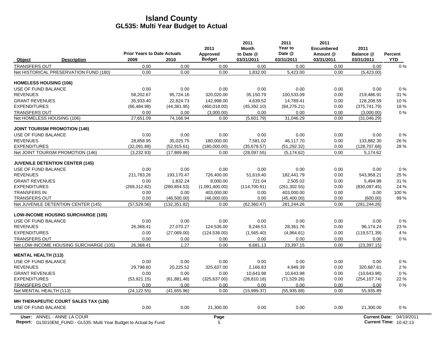|                               |                                             |                                                    |               | 2011                      | 2011<br><b>Month</b>    | 2011<br>Year to<br>Date @ | 2011<br><b>Encumbered</b> | 2011                    |                       |
|-------------------------------|---------------------------------------------|----------------------------------------------------|---------------|---------------------------|-------------------------|---------------------------|---------------------------|-------------------------|-----------------------|
| Object                        | <b>Description</b>                          | <b>Prior Years to Date Actuals</b><br>2009<br>2010 |               | Approved<br><b>Budget</b> | to Date @<br>03/31/2011 | 03/31/2011                | Amount @<br>03/31/2011    | Balance @<br>03/31/2011 | Percent<br><b>YTD</b> |
| <b>TRANSFERS OUT</b>          |                                             | 0.00                                               | 0.00          | 0.00                      | 0.00                    | 0.00                      | 0.00                      | 0.00                    | 0%                    |
|                               | Net HISTORICAL PRESERVATION FUND (180)      | 0.00                                               | 0.00          | 0.00                      | 1,832.00                | 5,423.00                  | 0.00                      | (5,423.00)              |                       |
| <b>HOMELESS HOUSING (106)</b> |                                             |                                                    |               |                           |                         |                           |                           |                         |                       |
| USE OF FUND BALANCE           |                                             | 0.00                                               | 0.00          | 0.00                      | 0.00                    | 0.00                      | 0.00                      | 0.00                    | 0%                    |
| <b>REVENUES</b>               |                                             | 58,202.67                                          | 95,724.16     | 320,020.00                | 35,150.79               | 100,533.09                | 0.00                      | 219,486.91              | 31 %                  |
| <b>GRANT REVENUES</b>         |                                             | 35.933.40                                          | 22.824.73     | 142.998.00                | 4.639.52                | 14.789.41                 | 0.00                      | 128.208.59              | 10%                   |
| <b>EXPENDITURES</b>           |                                             | (66, 484.98)                                       | (44, 381.95)  | (460, 018.00)             | (45, 392.10)            | (84, 276.21)              | 0.00                      | (375, 741.79)           | 18%                   |
| <b>TRANSFERS OUT</b>          |                                             | 0.00                                               | 0.00          | (3,000.00)                | 0.00                    | 0.00                      | 0.00                      | (3,000.00)              | 0%                    |
| Net HOMELESS HOUSING (106)    |                                             | 27,651.09                                          | 74,166.94     | 0.00                      | (5,601.79)              | 31,046.29                 | 0.00                      | (31,046.29)             |                       |
|                               | <b>JOINT TOURISM PROMOTION (146)</b>        |                                                    |               |                           |                         |                           |                           |                         |                       |
| USE OF FUND BALANCE           |                                             | 0.00                                               | 0.00          | 0.00                      | 0.00                    | 0.00                      | 0.00                      | 0.00                    | 0%                    |
| <b>REVENUES</b>               |                                             | 28,858.95                                          | 35,025.75     | 180,000.00                | 7,581.02                | 46,117.70                 | 0.00                      | 133,882.30              | 26 %                  |
| <b>EXPENDITURES</b>           |                                             | (32,091.88)                                        | (52, 915.61)  | (180.000.00)              | (35,678.57)             | (51, 292.32)              | 0.00                      | (128, 707.68)           | 28 %                  |
|                               | Net JOINT TOURISM PROMOTION (146)           | (3,232.93)                                         | (17, 889.86)  | 0.00                      | (28,097.55)             | (5, 174.62)               | 0.00                      | 5,174.62                |                       |
|                               | <b>JUVENILE DETENTION CENTER (145)</b>      |                                                    |               |                           |                         |                           |                           |                         |                       |
| USE OF FUND BALANCE           |                                             | 0.00                                               | 0.00          | 0.00                      | 0.00                    | 0.00                      | 0.00                      | 0.00                    | 0%                    |
| <b>REVENUES</b>               |                                             | 211,783.26                                         | 193,170.47    | 726,400.00                | 51,619.40               | 182,441.79                | 0.00                      | 543,958.21              | 25 %                  |
| <b>GRANT REVENUES</b>         |                                             | 0.00                                               | 1,832.24      | 8,000.00                  | 721.04                  | 2,505.02                  | 0.00                      | 5,494.98                | 31 %                  |
| <b>EXPENDITURES</b>           |                                             | (269, 312.82)                                      | (280, 854.53) | (1,091,400.00)            | (114, 700.91)           | (261, 302.55)             | 0.00                      | (830,097.45)            | 24 %                  |
| <b>TRANSFERS IN</b>           |                                             | 0.00                                               | 0.00          | 403,000.00                | 0.00                    | 403,000.00                | 0.00                      | 0.00                    | 100 %                 |
| <b>TRANSFERS OUT</b>          |                                             | 0.00                                               | (46,500.00)   | (46,000.00)               | 0.00                    | (45, 400.00)              | 0.00                      | (600.00)                | 99%                   |
|                               | Net JUVENILE DETENTION CENTER (145)         | (57, 529.56)                                       | (132, 351.82) | 0.00                      | (62, 360.47)            | 281,244.26                | 0.00                      | (281, 244.26)           |                       |
|                               | <b>LOW-INCOME HOUSING SURCHARGE (105)</b>   |                                                    |               |                           |                         |                           |                           |                         |                       |
| USE OF FUND BALANCE           |                                             | 0.00                                               | 0.00          | 0.00                      | 0.00                    | 0.00                      | 0.00                      | 0.00                    | 0%                    |
| <b>REVENUES</b>               |                                             | 26,368.41                                          | 27,070.27     | 124,536.00                | 8,246.53                | 28,361.76                 | 0.00                      | 96,174.24               | 23 %                  |
| <b>EXPENDITURES</b>           |                                             | 0.00                                               | (27,069.00)   | (124, 536.00)             | (1,565.40)              | (4,964.61)                | 0.00                      | (119, 571.39)           | 4 %                   |
| <b>TRANSFERS OUT</b>          |                                             | 0.00                                               | 0.00          | 0.00                      | 0.00                    | 0.00                      | 0.00                      | 0.00                    | 0%                    |
|                               | Net LOW-INCOME HOUSING SURCHARGE (105)      | 26,368.41                                          | 1.27          | 0.00                      | 6,681.13                | 23,397.15                 | 0.00                      | (23, 397.15)            |                       |
| <b>MENTAL HEALTH (113)</b>    |                                             |                                                    |               |                           |                         |                           |                           |                         |                       |
| USE OF FUND BALANCE           |                                             | 0.00                                               | 0.00          | 0.00                      | 0.00                    | 0.00                      | 0.00                      | 0.00                    | 0%                    |
| <b>REVENUES</b>               |                                             | 29,798.60                                          | 20,225.52     | 325,637.00                | 2.166.83                | 4,949.39                  | 0.00                      | 320.687.61              | 2%                    |
| <b>GRANT REVENUES</b>         |                                             | 0.00                                               | 0.00          | 0.00                      | 10.643.98               | 10.643.98                 | 0.00                      | (10,643.98)             | 0%                    |
| <b>EXPENDITURES</b>           |                                             | (53, 921.15)                                       | (61, 881.48)  | (325, 637.00)             | (28, 810.18)            | (71, 529.26)              | 0.00                      | (254, 107.74)           | 22 %                  |
| <b>TRANSFERS OUT</b>          |                                             | 0.00                                               | 0.00          | 0.00                      | 0.00                    | 0.00                      | 0.00                      | 0.00                    | 0%                    |
| Net MENTAL HEALTH (113)       |                                             | (24, 122.55)                                       | (41,655.96)   | 0.00                      | (15,999.37)             | (55,935.89)               | 0.00                      | 55,935.89               |                       |
|                               | <b>MH THERAPEUTIC COURT SALES TAX (126)</b> |                                                    |               |                           |                         |                           |                           |                         |                       |
| USE OF FUND BALANCE           |                                             | 0.00                                               | 0.00          | 21,300.00                 | 0.00                    | 0.00                      | 0.00                      | 21,300.00               | 0%                    |
|                               | User: ANNEL - ANNE LA COUR                  |                                                    |               | Page                      |                         |                           |                           | <b>Current Date:</b>    | 04/19/2011            |

Report: GL5010EM\_FUND - GL535: Multi Year Budget to Actual by Fund **Current Time: 5 Actual 2012 12: Actual 201** GL5010EM\_FUND - GL535: Multi Year Budget to Actual by Fund 10:42:13 AM SULFERENT INCOLLEGATION 10:42:13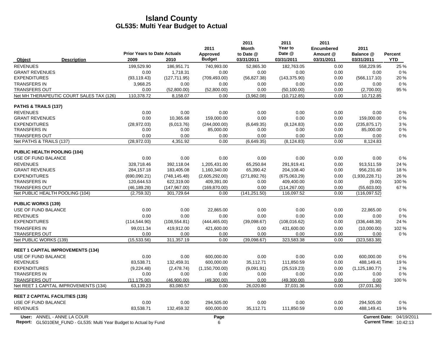|                                          |                                    |               | 2011             | 2011<br><b>Month</b> | 2011<br>Year to | 2011<br><b>Encumbered</b> | 2011                 |            |
|------------------------------------------|------------------------------------|---------------|------------------|----------------------|-----------------|---------------------------|----------------------|------------|
|                                          | <b>Prior Years to Date Actuals</b> |               | Approved         | to Date @            | Date @          | Amount @                  | Balance @            | Percent    |
| <b>Description</b><br>Object             | 2009                               | 2010          | <b>Budget</b>    | 03/31/2011           | 03/31/2011      | 03/31/2011                | 03/31/2011           | <b>YTD</b> |
| <b>REVENUES</b>                          | 199,529.90                         | 186,951.71    | 740,993.00       | 52,865.30            | 182,763.05      | 0.00                      | 558,229.95           | 25 %       |
| <b>GRANT REVENUES</b>                    | 0.00                               | 1,718.31      | 0.00             | 0.00                 | 0.00            | 0.00                      | 0.00                 | 0%         |
| <b>EXPENDITURES</b>                      | (93, 119.43)                       | (127, 711.95) | (709, 493.00)    | (56, 827.38)         | (143, 375.90)   | 0.00                      | (566, 117.10)        | 20 %       |
| <b>TRANSFERS IN</b>                      | 3.968.25                           | 0.00          | 0.00             | 0.00                 | 0.00            | 0.00                      | 0.00                 | 0%         |
| <b>TRANSFERS OUT</b>                     | 0.00                               | (52,800.00)   | (52,800.00)      | 0.00                 | (50, 100.00)    | 0.00                      | (2,700.00)           | 95 %       |
| Net MH THERAPEUTIC COURT SALES TAX (126) | 110,378.72                         | 8,158.07      | 0.00             | (3,962.08)           | (10, 712.85)    | 0.00                      | 10,712.85            |            |
| PATHS & TRAILS (137)                     |                                    |               |                  |                      |                 |                           |                      |            |
| <b>REVENUES</b>                          | 0.00                               | 0.00          | 0.00             | 0.00                 | 0.00            | 0.00                      | 0.00                 | 0%         |
| <b>GRANT REVENUES</b>                    | 0.00                               | 10,365.68     | 159,000.00       | 0.00                 | 0.00            | 0.00                      | 159,000.00           | 0%         |
| <b>EXPENDITURES</b>                      | (28, 972.03)                       | (6,013.76)    | (244,000.00)     | (6,649.35)           | (8, 124.83)     | 0.00                      | (235, 875.17)        | 3%         |
| <b>TRANSFERS IN</b>                      | 0.00                               | 0.00          | 85,000.00        | 0.00                 | 0.00            | 0.00                      | 85,000.00            | 0%         |
| <b>TRANSFERS OUT</b>                     | 0.00                               | 0.00          | 0.00             | 0.00                 | 0.00            | 0.00                      | 0.00                 | 0%         |
| Net PATHS & TRAILS (137)                 | (28, 972.03)                       | 4,351.92      | 0.00             | (6,649.35)           | (8, 124.83)     | 0.00                      | 8,124.83             |            |
| <b>PUBLIC HEALTH POOLING (104)</b>       |                                    |               |                  |                      |                 |                           |                      |            |
| USE OF FUND BALANCE                      | 0.00                               | 0.00          | 0.00             | 0.00                 | 0.00            | 0.00                      | 0.00                 | 0%         |
| <b>REVENUES</b>                          | 328,718.46                         | 392,118.04    | 1,205,431.00     | 65,250.84            | 291,919.41      | 0.00                      | 913,511.59           | 24 %       |
| <b>GRANT REVENUES</b>                    | 284,157.18                         | 183,405.08    | 1,160,340.00     | 65,390.42            | 204,108.40      | 0.00                      | 956,231.60           | 18%        |
| <b>EXPENDITURES</b>                      | (690,090.21)                       | (748.145.48)  | (2,605,292.00)   | (271, 892.76)        | (675,063.29)    | 0.00                      | (1,930,228.71)       | 26 %       |
| <b>TRANSFERS IN</b>                      | 120,644.53                         | 622,319.00    | 409,391.00       | 0.00                 | 409,400.00      | 0.00                      | (9.00)               | 100 %      |
| <b>TRANSFERS OUT</b>                     | (46, 189.28)                       | (147, 967.00) | (169, 870.00)    | 0.00                 | (114, 267.00)   | 0.00                      | (55,603.00)          | 67%        |
| Net PUBLIC HEALTH POOLING (104)          | (2,759.32)                         | 301,729.64    | 0.00             | (141, 251.50)        | 116,097.52      | 0.00                      | (116,097.52)         |            |
| <b>PUBLIC WORKS (139)</b>                |                                    |               |                  |                      |                 |                           |                      |            |
| USE OF FUND BALANCE                      | 0.00                               | 0.00          | 22,865.00        | 0.00                 | 0.00            | 0.00                      | 22,865.00            | 0%         |
| <b>REVENUES</b>                          | 0.00                               | 0.00          | 0.00             | 0.00                 | 0.00            | 0.00                      | 0.00                 | 0%         |
| <b>EXPENDITURES</b>                      | (114, 544.90)                      | (108, 554.81) | (444, 465.00)    | (39,098.67)          | (108, 016.62)   | 0.00                      | (336, 448.38)        | 24 %       |
| <b>TRANSFERS IN</b>                      | 99,011.34                          | 419,912.00    | 421,600.00       | 0.00                 | 431,600.00      | 0.00                      | (10,000.00)          | 102 %      |
| <b>TRANSFERS OUT</b>                     | 0.00                               | 0.00          | 0.00             | 0.00                 | 0.00            | 0.00                      | 0.00                 | $0\%$      |
| Net PUBLIC WORKS (139)                   | (15,533.56)                        | 311,357.19    | 0.00             | (39,098.67)          | 323,583.38      | 0.00                      | (323, 583.38)        |            |
| <b>REET 1 CAPITAL IMPROVEMENTS (134)</b> |                                    |               |                  |                      |                 |                           |                      |            |
| USE OF FUND BALANCE                      | 0.00                               | 0.00          | 600.000.00       | 0.00                 | 0.00            | 0.00                      | 600.000.00           | 0%         |
| <b>REVENUES</b>                          | 83.538.71                          | 132.459.31    | 600,000.00       | 35.112.71            | 111,850.59      | 0.00                      | 488,149.41           | 19%        |
| <b>EXPENDITURES</b>                      | (9,224.48)                         | (2,478.74)    | (1, 150, 700.00) | (9,091.91)           | (25, 519.23)    | 0.00                      | (1, 125, 180.77)     | 2%         |
| <b>TRANSFERS IN</b>                      | 0.00                               | 0.00          | 0.00             | 0.00                 | 0.00            | 0.00                      | 0.00                 | 0%         |
| <b>TRANSFERS OUT</b>                     | (11, 175.00)                       | (46,900.00)   | (49,300.00)      | 0.00                 | (49,300.00)     | 0.00                      | 0.00                 | 100 %      |
| Net REET 1 CAPITAL IMPROVEMENTS (134)    | 63,139.23                          | 83,080.57     | 0.00             | 26,020.80            | 37,031.36       | 0.00                      | (37,031.36)          |            |
| <b>REET 2 CAPITAL FACILITIES (135)</b>   |                                    |               |                  |                      |                 |                           |                      |            |
| USE OF FUND BALANCE                      | 0.00                               | 0.00          | 294,505.00       | 0.00                 | 0.00            | 0.00                      | 294,505.00           | 0%         |
| <b>REVENUES</b>                          | 83,538.71                          | 132,459.32    | 600,000.00       | 35,112.71            | 111,850.59      | 0.00                      | 488,149.41           | 19%        |
| User: ANNEL - ANNE LA COUR               |                                    |               | Page             |                      |                 |                           | <b>Current Date:</b> | 04/19/2011 |

**Report:** 6 **Current Time:** GL5010EM\_FUND - GL535: Multi Year Budget to Actual by Fund 10:42:13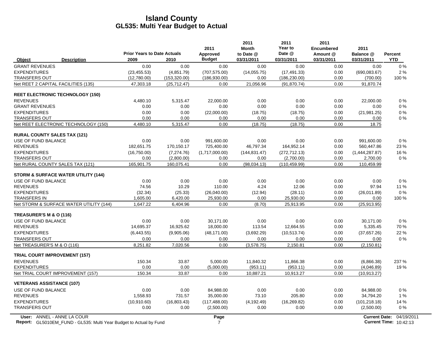|                                                |                                            |               | 2011                      | 2011<br><b>Month</b>    | 2011<br>Year to      | 2011<br><b>Encumbered</b> | 2011                    |                              |
|------------------------------------------------|--------------------------------------------|---------------|---------------------------|-------------------------|----------------------|---------------------------|-------------------------|------------------------------|
| <b>Description</b><br>Object                   | <b>Prior Years to Date Actuals</b><br>2009 | 2010          | Approved<br><b>Budget</b> | to Date @<br>03/31/2011 | Date @<br>03/31/2011 | Amount @<br>03/31/2011    | Balance @<br>03/31/2011 | <b>Percent</b><br><b>YTD</b> |
| <b>GRANT REVENUES</b>                          | 0.00                                       | 0.00          | 0.00                      | 0.00                    | 0.00                 | 0.00                      | 0.00                    | 0%                           |
| <b>EXPENDITURES</b>                            | (23.455.53)                                | (4,851.79)    | (707, 575.00)             | (14.055.75)             | (17, 491.33)         | 0.00                      | (690, 083.67)           | 2%                           |
| <b>TRANSFERS OUT</b>                           | (12,780.00)                                | (153, 320.00) | (186, 930.00)             | 0.00                    | (186, 230.00)        | 0.00                      | (700.00)                | 100 %                        |
| Net REET 2 CAPITAL FACILITIES (135)            | 47,303.18                                  | (25, 712.47)  | 0.00                      | 21,056.96               | (91, 870.74)         | 0.00                      | 91,870.74               |                              |
| <b>REET ELECTRONIC TECHNOLOGY (150)</b>        |                                            |               |                           |                         |                      |                           |                         |                              |
| <b>REVENUES</b>                                | 4,480.10                                   | 5,315.47      | 22,000.00                 | 0.00                    | 0.00                 | 0.00                      | 22,000.00               | $0\%$                        |
| <b>GRANT REVENUES</b>                          | 0.00                                       | 0.00          | 0.00                      | 0.00                    | 0.00                 | 0.00                      | 0.00                    | $0\%$                        |
| <b>EXPENDITURES</b>                            | 0.00                                       | 0.00          | (22,000.00)               | (18.75)                 | (18.75)              | 0.00                      | (21, 981.25)            | $0\%$                        |
| <b>TRANSFERS OUT</b>                           | 0.00                                       | 0.00          | 0.00                      | 0.00                    | 0.00                 | 0.00                      | 0.00                    | $0\%$                        |
| Net REET ELECTRONIC TECHNOLOGY (150)           | 4,480.10                                   | 5,315.47      | 0.00                      | (18.75)                 | (18.75)              | 0.00                      | 18.75                   |                              |
| <b>RURAL COUNTY SALES TAX (121)</b>            |                                            |               |                           |                         |                      |                           |                         |                              |
| USE OF FUND BALANCE                            | 0.00                                       | 0.00          | 991.600.00                | 0.00                    | 0.00                 | 0.00                      | 991.600.00              | 0%                           |
| <b>REVENUES</b>                                | 182,651.75                                 | 170,150.17    | 725,400.00                | 46,797.34               | 164,952.14           | 0.00                      | 560,447.86              | 23 %                         |
| <b>EXPENDITURES</b>                            | (16,750.00)                                | (7,274.76)    | (1,717,000.00)            | (144, 831.47)           | (272, 712.13)        | 0.00                      | (1,444,287.87)          | 16 %                         |
| <b>TRANSFERS OUT</b>                           | 0.00                                       | (2,800.00)    | 0.00                      | 0.00                    | (2,700.00)           | 0.00                      | 2,700.00                | 0%                           |
| Net RURAL COUNTY SALES TAX (121)               | 165,901.75                                 | 160,075.41    | 0.00                      | (98.034.13)             | (110, 459.99)        | 0.00                      | 110,459.99              |                              |
| <b>STORM &amp; SURFACE WATER UTILITY (144)</b> |                                            |               |                           |                         |                      |                           |                         |                              |
| USE OF FUND BALANCE                            | 0.00                                       | 0.00          | 0.00                      | 0.00                    | 0.00                 | 0.00                      | 0.00                    | 0%                           |
| <b>REVENUES</b>                                | 74.56                                      | 10.29         | 110.00                    | 4.24                    | 12.06                | 0.00                      | 97.94                   | 11 %                         |
| <b>EXPENDITURES</b>                            | (32.34)                                    | (25.33)       | (26,040.00)               | (12.94)                 | (28.11)              | 0.00                      | (26,011.89)             | 0%                           |
| <b>TRANSFERS IN</b>                            | 1,605.00                                   | 6,420.00      | 25,930.00                 | 0.00                    | 25,930.00            | 0.00                      | 0.00                    | 100 %                        |
| Net STORM & SURFACE WATER UTILITY (144)        | 1,647.22                                   | 6,404.96      | 0.00                      | (8.70)                  | 25,913.95            | 0.00                      | (25, 913.95)            |                              |
| TREASURER'S M & O (116)                        |                                            |               |                           |                         |                      |                           |                         |                              |
| USE OF FUND BALANCE                            | 0.00                                       | 0.00          | 30.171.00                 | 0.00                    | 0.00                 | 0.00                      | 30.171.00               | 0%                           |
| <b>REVENUES</b>                                | 14,695.37                                  | 16,925.62     | 18,000.00                 | 113.54                  | 12,664.55            | 0.00                      | 5,335.45                | 70 %                         |
| <b>EXPENDITURES</b>                            | (6,443.55)                                 | (9,905.06)    | (48, 171.00)              | (3,692.29)              | (10,513.74)          | 0.00                      | (37,657.26)             | 22 %                         |
| <b>TRANSFERS OUT</b>                           | 0.00                                       | 0.00          | 0.00                      | 0.00                    | 0.00                 | 0.00                      | 0.00                    | $0\%$                        |
| Net TREASURER'S M & O (116)                    | 8,251.82                                   | 7,020.56      | 0.00                      | (3,578.75)              | 2,150.81             | 0.00                      | (2, 150.81)             |                              |
| <b>TRIAL COURT IMPROVEMENT (157)</b>           |                                            |               |                           |                         |                      |                           |                         |                              |
| <b>REVENUES</b>                                | 150.34                                     | 33.87         | 5,000.00                  | 11,840.32               | 11,866.38            | 0.00                      | (6,866.38)              | 237 %                        |
| <b>EXPENDITURES</b>                            | 0.00                                       | 0.00          | (5,000.00)                | (953.11)                | (953.11)             | 0.00                      | (4,046.89)              | 19%                          |
| Net TRIAL COURT IMPROVEMENT (157)              | 150.34                                     | 33.87         | 0.00                      | 10,887.21               | 10,913.27            | 0.00                      | (10, 913.27)            |                              |
| <b>VETERANS ASSISTANCE (107)</b>               |                                            |               |                           |                         |                      |                           |                         |                              |
| USE OF FUND BALANCE                            | 0.00                                       | 0.00          | 84,988.00                 | 0.00                    | 0.00                 | 0.00                      | 84,988.00               | $0\%$                        |
| <b>REVENUES</b>                                | 1,558.93                                   | 731.57        | 35,000.00                 | 73.10                   | 205.80               | 0.00                      | 34,794.20               | 1%                           |
| <b>EXPENDITURES</b>                            | (10,910.60)                                | (16,803.43)   | (117, 488.00)             | (4, 192.49)             | (16, 269.82)         | 0.00                      | (101, 218.18)           | 14 %                         |
| <b>TRANSFERS OUT</b>                           | 0.00                                       | 0.00          | (2,500.00)                | 0.00                    | 0.00                 | 0.00                      | (2,500.00)              | $0\%$                        |
|                                                |                                            |               |                           |                         |                      |                           |                         |                              |

 $\overline{\phantom{a}}$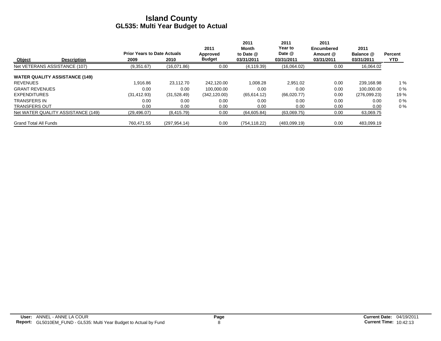|                                       | <b>Description</b> |                                    |               | 2011          | 2011<br>Month | 2011<br>Year to | 2011<br><b>Encumbered</b> | 2011         |                |
|---------------------------------------|--------------------|------------------------------------|---------------|---------------|---------------|-----------------|---------------------------|--------------|----------------|
|                                       |                    | <b>Prior Years to Date Actuals</b> |               | Approved      | to Date @     | Date @          | Amount @                  | Balance @    | <b>Percent</b> |
| <b>Object</b>                         |                    | 2009                               | 2010          | <b>Budget</b> | 03/31/2011    | 03/31/2011      | 03/31/2011                | 03/31/2011   | <b>YTD</b>     |
| Net VETERANS ASSISTANCE (107)         |                    | (9,351.67)                         | (16,071.86)   | 0.00          | (4, 119.39)   | (16,064.02)     | 0.00                      | 16,064.02    |                |
| <b>WATER QUALITY ASSISTANCE (149)</b> |                    |                                    |               |               |               |                 |                           |              |                |
| <b>REVENUES</b>                       |                    | 1,916.86                           | 23.112.70     | 242.120.00    | 1.008.28      | 2.951.02        | 0.00                      | 239,168.98   | 1%             |
| <b>GRANT REVENUES</b>                 |                    | 0.00                               | 0.00          | 100.000.00    | 0.00          | 0.00            | 0.00                      | 100.000.00   | 0%             |
| <b>EXPENDITURES</b>                   |                    | (31, 412.93)                       | (31,528.49)   | (342, 120.00) | (65, 614.12)  | (66,020.77)     | 0.00                      | (276,099.23) | 19%            |
| <b>TRANSFERS IN</b>                   |                    | 0.00                               | 0.00          | 0.00          | 0.00          | 0.00            | 0.00                      | 0.00         | 0%             |
| <b>TRANSFERS OUT</b>                  |                    | 0.00                               | 0.00          | 0.00          | 0.00          | 0.00            | 0.00                      | 0.00         | 0%             |
| Net WATER QUALITY ASSISTANCE (149)    |                    | (29, 496.07)                       | (8, 415.79)   | 0.00          | (64,605.84)   | (63,069.75)     | 0.00                      | 63,069.75    |                |
| <b>Grand Total All Funds</b>          |                    | 760.471.55                         | (297, 954.14) | 0.00          | (754, 118.22) | (483,099.19)    | 0.00                      | 483,099.19   |                |